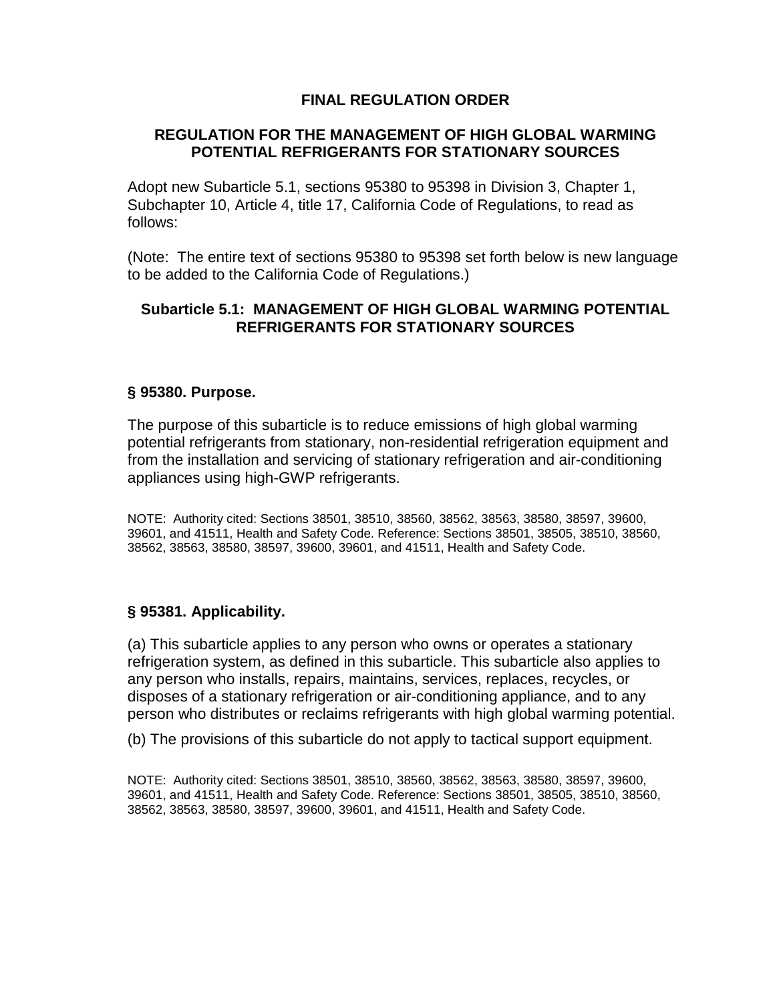## **FINAL REGULATION ORDER**

## **REGULATION FOR THE MANAGEMENT OF HIGH GLOBAL WARMING POTENTIAL REFRIGERANTS FOR STATIONARY SOURCES**

Adopt new Subarticle 5.1, sections 95380 to 95398 in Division 3, Chapter 1, Subchapter 10, Article 4, title 17, California Code of Regulations, to read as follows:

(Note: The entire text of sections 95380 to 95398 set forth below is new language to be added to the California Code of Regulations.)

## **Subarticle 5.1: MANAGEMENT OF HIGH GLOBAL WARMING POTENTIAL REFRIGERANTS FOR STATIONARY SOURCES**

#### **§ 95380. Purpose.**

The purpose of this subarticle is to reduce emissions of high global warming potential refrigerants from stationary, non-residential refrigeration equipment and from the installation and servicing of stationary refrigeration and air-conditioning appliances using high-GWP refrigerants.

NOTE: Authority cited: Sections 38501, 38510, 38560, 38562, 38563, 38580, 38597, 39600, 39601, and 41511, Health and Safety Code. Reference: Sections 38501, 38505, 38510, 38560, 38562, 38563, 38580, 38597, 39600, 39601, and 41511, Health and Safety Code.

### **§ 95381. Applicability.**

(a) This subarticle applies to any person who owns or operates a stationary refrigeration system, as defined in this subarticle. This subarticle also applies to any person who installs, repairs, maintains, services, replaces, recycles, or disposes of a stationary refrigeration or air-conditioning appliance, and to any person who distributes or reclaims refrigerants with high global warming potential.

(b) The provisions of this subarticle do not apply to tactical support equipment.

NOTE: Authority cited: Sections 38501, 38510, 38560, 38562, 38563, 38580, 38597, 39600, 39601, and 41511, Health and Safety Code. Reference: Sections 38501, 38505, 38510, 38560, 38562, 38563, 38580, 38597, 39600, 39601, and 41511, Health and Safety Code.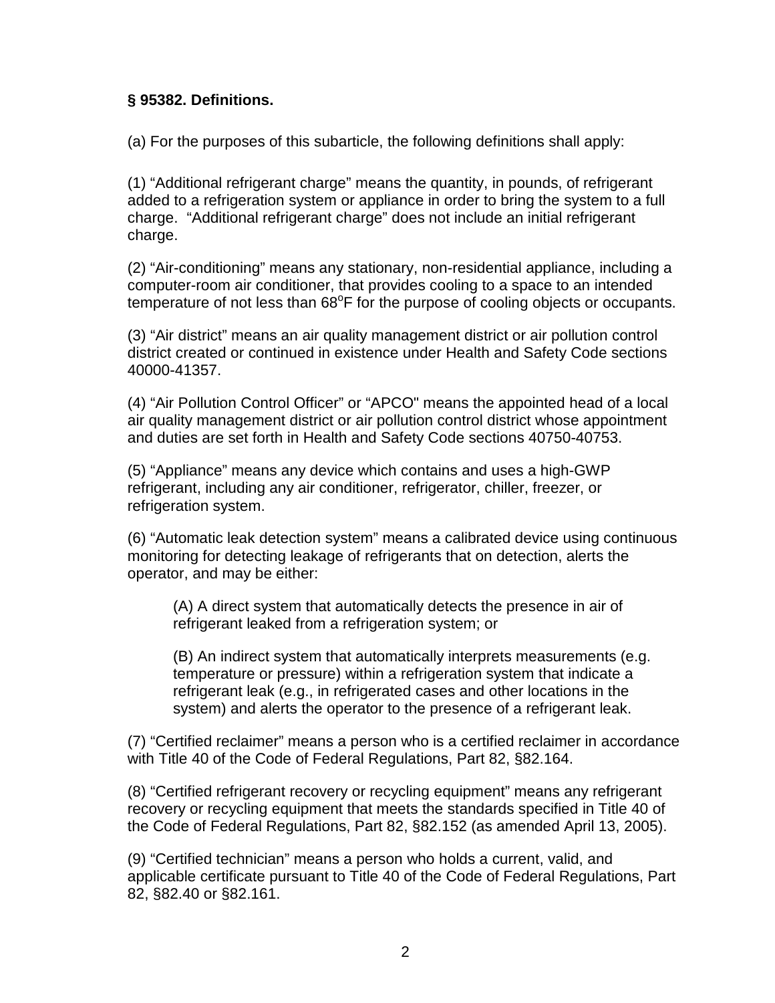## **§ 95382. Definitions.**

(a) For the purposes of this subarticle, the following definitions shall apply:

(1) "Additional refrigerant charge" means the quantity, in pounds, of refrigerant added to a refrigeration system or appliance in order to bring the system to a full charge. "Additional refrigerant charge" does not include an initial refrigerant charge.

(2) "Air-conditioning" means any stationary, non-residential appliance, including a computer-room air conditioner, that provides cooling to a space to an intended temperature of not less than  $68^{\circ}$ F for the purpose of cooling objects or occupants.

(3) "Air district" means an air quality management district or air pollution control district created or continued in existence under Health and Safety Code sections 40000-41357.

(4) "Air Pollution Control Officer" or "APCO" means the appointed head of a local air quality management district or air pollution control district whose appointment and duties are set forth in Health and Safety Code sections 40750-40753.

(5) "Appliance" means any device which contains and uses a high-GWP refrigerant, including any air conditioner, refrigerator, chiller, freezer, or refrigeration system.

(6) "Automatic leak detection system" means a calibrated device using continuous monitoring for detecting leakage of refrigerants that on detection, alerts the operator, and may be either:

(A) A direct system that automatically detects the presence in air of refrigerant leaked from a refrigeration system; or

(B) An indirect system that automatically interprets measurements (e.g. temperature or pressure) within a refrigeration system that indicate a refrigerant leak (e.g., in refrigerated cases and other locations in the system) and alerts the operator to the presence of a refrigerant leak.

(7) "Certified reclaimer" means a person who is a certified reclaimer in accordance with Title 40 of the Code of Federal Regulations, Part 82, §82.164.

(8) "Certified refrigerant recovery or recycling equipment" means any refrigerant recovery or recycling equipment that meets the standards specified in Title 40 of the Code of Federal Regulations, Part 82, §82.152 (as amended April 13, 2005).

(9) "Certified technician" means a person who holds a current, valid, and applicable certificate pursuant to Title 40 of the Code of Federal Regulations, Part 82, §82.40 or §82.161.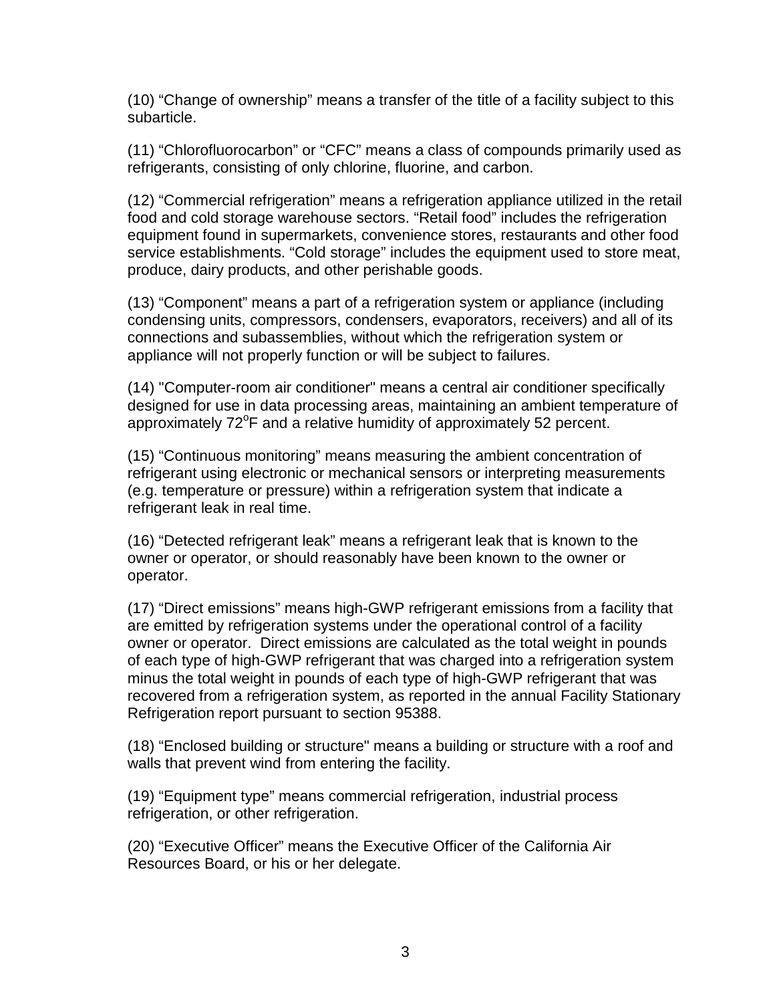(10) "Change of ownership" means a transfer of the title of a facility subject to this subarticle.

(11) "Chlorofluorocarbon" or "CFC" means a class of compounds primarily used as refrigerants, consisting of only chlorine, fluorine, and carbon.

(12) "Commercial refrigeration" means a refrigeration appliance utilized in the retail food and cold storage warehouse sectors. "Retail food" includes the refrigeration equipment found in supermarkets, convenience stores, restaurants and other food service establishments. "Cold storage" includes the equipment used to store meat, produce, dairy products, and other perishable goods.

(13) "Component" means a part of a refrigeration system or appliance (including condensing units, compressors, condensers, evaporators, receivers) and all of its connections and subassemblies, without which the refrigeration system or appliance will not properly function or will be subject to failures.

(14) "Computer-room air conditioner" means a central air conditioner specifically designed for use in data processing areas, maintaining an ambient temperature of approximately 72°F and a relative humidity of approximately 52 percent.

(15) "Continuous monitoring" means measuring the ambient concentration of refrigerant using electronic or mechanical sensors or interpreting measurements (e.g. temperature or pressure) within a refrigeration system that indicate a refrigerant leak in real time.

(16) "Detected refrigerant leak" means a refrigerant leak that is known to the owner or operator, or should reasonably have been known to the owner or operator.

(17) "Direct emissions" means high-GWP refrigerant emissions from a facility that are emitted by refrigeration systems under the operational control of a facility owner or operator. Direct emissions are calculated as the total weight in pounds of each type of high-GWP refrigerant that was charged into a refrigeration system minus the total weight in pounds of each type of high-GWP refrigerant that was recovered from a refrigeration system, as reported in the annual Facility Stationary Refrigeration report pursuant to section 95388.

(18) "Enclosed building or structure" means a building or structure with a roof and walls that prevent wind from entering the facility.

(19) "Equipment type" means commercial refrigeration, industrial process refrigeration, or other refrigeration.

(20) "Executive Officer" means the Executive Officer of the California Air Resources Board, or his or her delegate.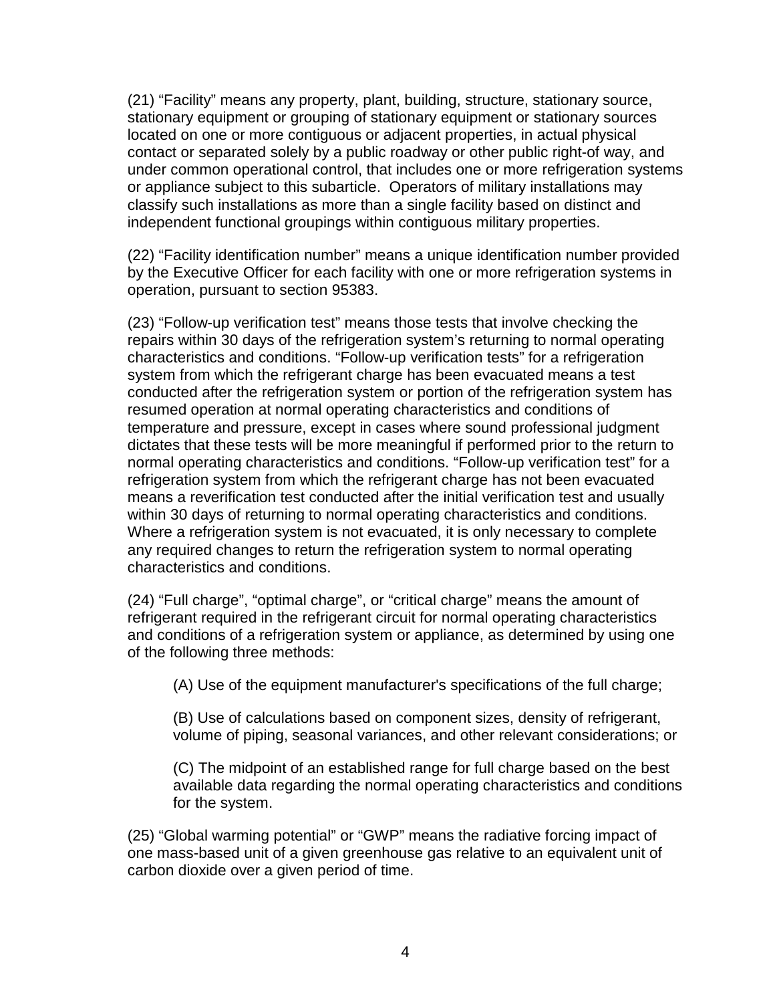(21) "Facility" means any property, plant, building, structure, stationary source, stationary equipment or grouping of stationary equipment or stationary sources located on one or more contiguous or adjacent properties, in actual physical contact or separated solely by a public roadway or other public right-of way, and under common operational control, that includes one or more refrigeration systems or appliance subject to this subarticle. Operators of military installations may classify such installations as more than a single facility based on distinct and independent functional groupings within contiguous military properties.

(22) "Facility identification number" means a unique identification number provided by the Executive Officer for each facility with one or more refrigeration systems in operation, pursuant to section 95383.

(23) "Follow-up verification test" means those tests that involve checking the repairs within 30 days of the refrigeration system's returning to normal operating characteristics and conditions. "Follow-up verification tests" for a refrigeration system from which the refrigerant charge has been evacuated means a test conducted after the refrigeration system or portion of the refrigeration system has resumed operation at normal operating characteristics and conditions of temperature and pressure, except in cases where sound professional judgment dictates that these tests will be more meaningful if performed prior to the return to normal operating characteristics and conditions. "Follow-up verification test" for a refrigeration system from which the refrigerant charge has not been evacuated means a reverification test conducted after the initial verification test and usually within 30 days of returning to normal operating characteristics and conditions. Where a refrigeration system is not evacuated, it is only necessary to complete any required changes to return the refrigeration system to normal operating characteristics and conditions.

(24) "Full charge", "optimal charge", or "critical charge" means the amount of refrigerant required in the refrigerant circuit for normal operating characteristics and conditions of a refrigeration system or appliance, as determined by using one of the following three methods:

(A) Use of the equipment manufacturer's specifications of the full charge;

(B) Use of calculations based on component sizes, density of refrigerant, volume of piping, seasonal variances, and other relevant considerations; or

(C) The midpoint of an established range for full charge based on the best available data regarding the normal operating characteristics and conditions for the system.

(25) "Global warming potential" or "GWP" means the radiative forcing impact of one mass-based unit of a given greenhouse gas relative to an equivalent unit of carbon dioxide over a given period of time.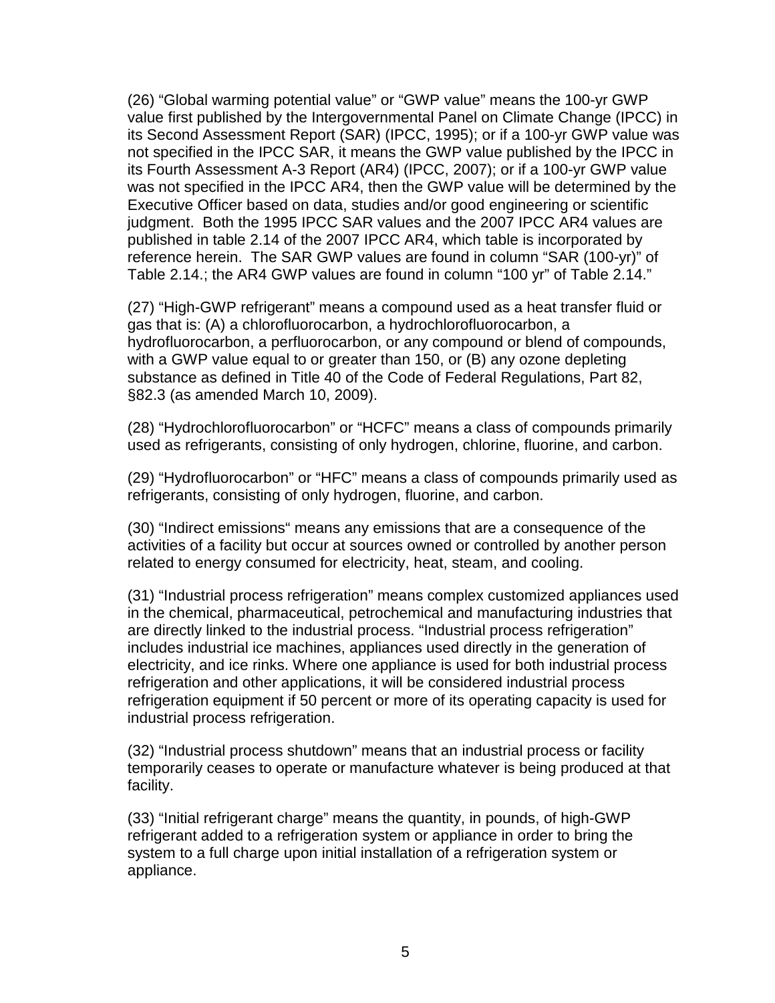(26) "Global warming potential value" or "GWP value" means the 100-yr GWP value first published by the Intergovernmental Panel on Climate Change (IPCC) in its Second Assessment Report (SAR) (IPCC, 1995); or if a 100-yr GWP value was not specified in the IPCC SAR, it means the GWP value published by the IPCC in its Fourth Assessment A-3 Report (AR4) (IPCC, 2007); or if a 100-yr GWP value was not specified in the IPCC AR4, then the GWP value will be determined by the Executive Officer based on data, studies and/or good engineering or scientific judgment. Both the 1995 IPCC SAR values and the 2007 IPCC AR4 values are published in table 2.14 of the 2007 IPCC AR4, which table is incorporated by reference herein. The SAR GWP values are found in column "SAR (100-yr)" of Table 2.14.; the AR4 GWP values are found in column "100 yr" of Table 2.14."

(27) "High-GWP refrigerant" means a compound used as a heat transfer fluid or gas that is: (A) a chlorofluorocarbon, a hydrochlorofluorocarbon, a hydrofluorocarbon, a perfluorocarbon, or any compound or blend of compounds, with a GWP value equal to or greater than 150, or (B) any ozone depleting substance as defined in Title 40 of the Code of Federal Regulations, Part 82, §82.3 (as amended March 10, 2009).

(28) "Hydrochlorofluorocarbon" or "HCFC" means a class of compounds primarily used as refrigerants, consisting of only hydrogen, chlorine, fluorine, and carbon.

(29) "Hydrofluorocarbon" or "HFC" means a class of compounds primarily used as refrigerants, consisting of only hydrogen, fluorine, and carbon.

(30) "Indirect emissions" means any emissions that are a consequence of the activities of a facility but occur at sources owned or controlled by another person related to energy consumed for electricity, heat, steam, and cooling.

(31) "Industrial process refrigeration" means complex customized appliances used in the chemical, pharmaceutical, petrochemical and manufacturing industries that are directly linked to the industrial process. "Industrial process refrigeration" includes industrial ice machines, appliances used directly in the generation of electricity, and ice rinks. Where one appliance is used for both industrial process refrigeration and other applications, it will be considered industrial process refrigeration equipment if 50 percent or more of its operating capacity is used for industrial process refrigeration.

(32) "Industrial process shutdown" means that an industrial process or facility temporarily ceases to operate or manufacture whatever is being produced at that facility.

(33) "Initial refrigerant charge" means the quantity, in pounds, of high-GWP refrigerant added to a refrigeration system or appliance in order to bring the system to a full charge upon initial installation of a refrigeration system or appliance.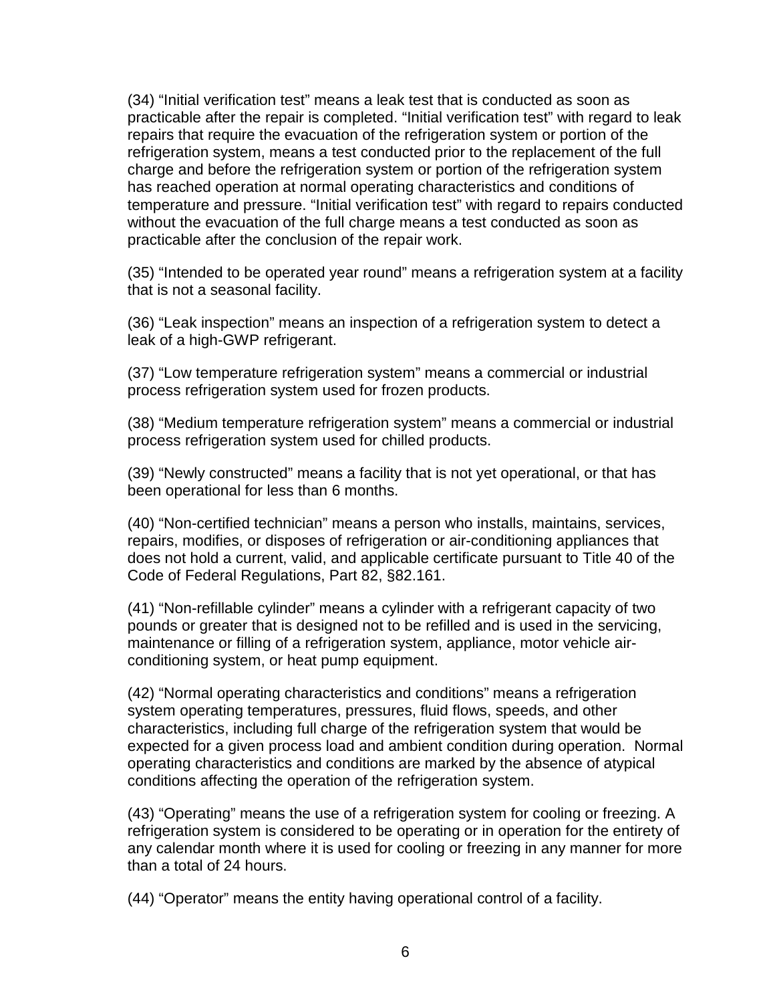(34) "Initial verification test" means a leak test that is conducted as soon as practicable after the repair is completed. "Initial verification test" with regard to leak repairs that require the evacuation of the refrigeration system or portion of the refrigeration system, means a test conducted prior to the replacement of the full charge and before the refrigeration system or portion of the refrigeration system has reached operation at normal operating characteristics and conditions of temperature and pressure. "Initial verification test" with regard to repairs conducted without the evacuation of the full charge means a test conducted as soon as practicable after the conclusion of the repair work.

(35) "Intended to be operated year round" means a refrigeration system at a facility that is not a seasonal facility.

(36) "Leak inspection" means an inspection of a refrigeration system to detect a leak of a high-GWP refrigerant.

(37) "Low temperature refrigeration system" means a commercial or industrial process refrigeration system used for frozen products.

(38) "Medium temperature refrigeration system" means a commercial or industrial process refrigeration system used for chilled products.

(39) "Newly constructed" means a facility that is not yet operational, or that has been operational for less than 6 months.

(40) "Non-certified technician" means a person who installs, maintains, services, repairs, modifies, or disposes of refrigeration or air-conditioning appliances that does not hold a current, valid, and applicable certificate pursuant to Title 40 of the Code of Federal Regulations, Part 82, §82.161.

(41) "Non-refillable cylinder" means a cylinder with a refrigerant capacity of two pounds or greater that is designed not to be refilled and is used in the servicing, maintenance or filling of a refrigeration system, appliance, motor vehicle airconditioning system, or heat pump equipment.

(42) "Normal operating characteristics and conditions" means a refrigeration system operating temperatures, pressures, fluid flows, speeds, and other characteristics, including full charge of the refrigeration system that would be expected for a given process load and ambient condition during operation. Normal operating characteristics and conditions are marked by the absence of atypical conditions affecting the operation of the refrigeration system.

(43) "Operating" means the use of a refrigeration system for cooling or freezing. A refrigeration system is considered to be operating or in operation for the entirety of any calendar month where it is used for cooling or freezing in any manner for more than a total of 24 hours.

(44) "Operator" means the entity having operational control of a facility.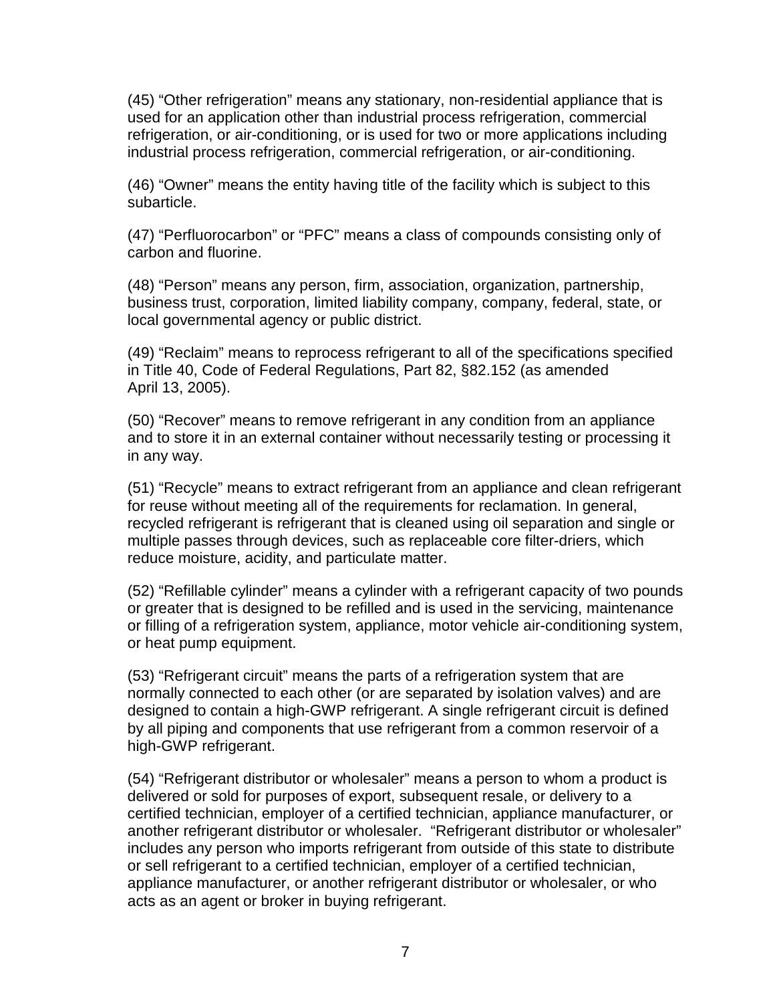(45) "Other refrigeration" means any stationary, non-residential appliance that is used for an application other than industrial process refrigeration, commercial refrigeration, or air-conditioning, or is used for two or more applications including industrial process refrigeration, commercial refrigeration, or air-conditioning.

(46) "Owner" means the entity having title of the facility which is subject to this subarticle.

(47) "Perfluorocarbon" or "PFC" means a class of compounds consisting only of carbon and fluorine.

(48) "Person" means any person, firm, association, organization, partnership, business trust, corporation, limited liability company, company, federal, state, or local governmental agency or public district.

(49) "Reclaim" means to reprocess refrigerant to all of the specifications specified in Title 40, Code of Federal Regulations, Part 82, §82.152 (as amended April 13, 2005).

(50) "Recover" means to remove refrigerant in any condition from an appliance and to store it in an external container without necessarily testing or processing it in any way.

(51) "Recycle" means to extract refrigerant from an appliance and clean refrigerant for reuse without meeting all of the requirements for reclamation. In general, recycled refrigerant is refrigerant that is cleaned using oil separation and single or multiple passes through devices, such as replaceable core filter-driers, which reduce moisture, acidity, and particulate matter.

(52) "Refillable cylinder" means a cylinder with a refrigerant capacity of two pounds or greater that is designed to be refilled and is used in the servicing, maintenance or filling of a refrigeration system, appliance, motor vehicle air-conditioning system, or heat pump equipment.

(53) "Refrigerant circuit" means the parts of a refrigeration system that are normally connected to each other (or are separated by isolation valves) and are designed to contain a high-GWP refrigerant. A single refrigerant circuit is defined by all piping and components that use refrigerant from a common reservoir of a high-GWP refrigerant.

(54) "Refrigerant distributor or wholesaler" means a person to whom a product is delivered or sold for purposes of export, subsequent resale, or delivery to a certified technician, employer of a certified technician, appliance manufacturer, or another refrigerant distributor or wholesaler. "Refrigerant distributor or wholesaler" includes any person who imports refrigerant from outside of this state to distribute or sell refrigerant to a certified technician, employer of a certified technician, appliance manufacturer, or another refrigerant distributor or wholesaler, or who acts as an agent or broker in buying refrigerant.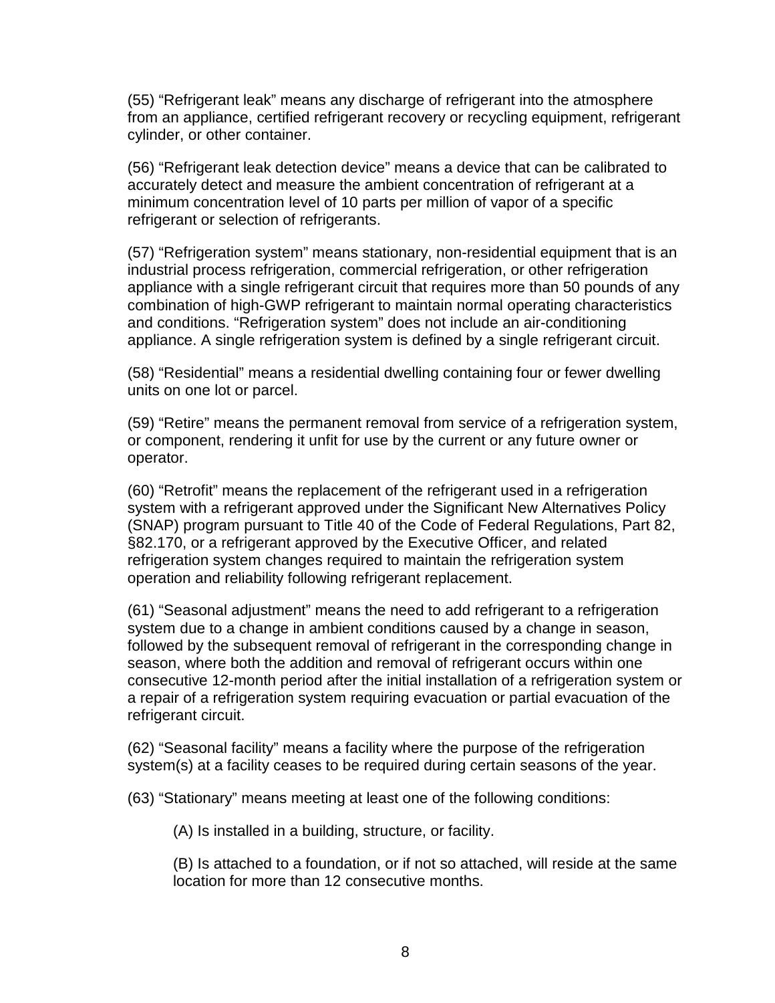(55) "Refrigerant leak" means any discharge of refrigerant into the atmosphere from an appliance, certified refrigerant recovery or recycling equipment, refrigerant cylinder, or other container.

(56) "Refrigerant leak detection device" means a device that can be calibrated to accurately detect and measure the ambient concentration of refrigerant at a minimum concentration level of 10 parts per million of vapor of a specific refrigerant or selection of refrigerants.

(57) "Refrigeration system" means stationary, non-residential equipment that is an industrial process refrigeration, commercial refrigeration, or other refrigeration appliance with a single refrigerant circuit that requires more than 50 pounds of any combination of high-GWP refrigerant to maintain normal operating characteristics and conditions. "Refrigeration system" does not include an air-conditioning appliance. A single refrigeration system is defined by a single refrigerant circuit.

(58) "Residential" means a residential dwelling containing four or fewer dwelling units on one lot or parcel.

(59) "Retire" means the permanent removal from service of a refrigeration system, or component, rendering it unfit for use by the current or any future owner or operator.

(60) "Retrofit" means the replacement of the refrigerant used in a refrigeration system with a refrigerant approved under the Significant New Alternatives Policy (SNAP) program pursuant to Title 40 of the Code of Federal Regulations, Part 82, §82.170, or a refrigerant approved by the Executive Officer, and related refrigeration system changes required to maintain the refrigeration system operation and reliability following refrigerant replacement.

(61) "Seasonal adjustment" means the need to add refrigerant to a refrigeration system due to a change in ambient conditions caused by a change in season, followed by the subsequent removal of refrigerant in the corresponding change in season, where both the addition and removal of refrigerant occurs within one consecutive 12-month period after the initial installation of a refrigeration system or a repair of a refrigeration system requiring evacuation or partial evacuation of the refrigerant circuit.

(62) "Seasonal facility" means a facility where the purpose of the refrigeration system(s) at a facility ceases to be required during certain seasons of the year.

(63) "Stationary" means meeting at least one of the following conditions:

(A) Is installed in a building, structure, or facility.

(B) Is attached to a foundation, or if not so attached, will reside at the same location for more than 12 consecutive months.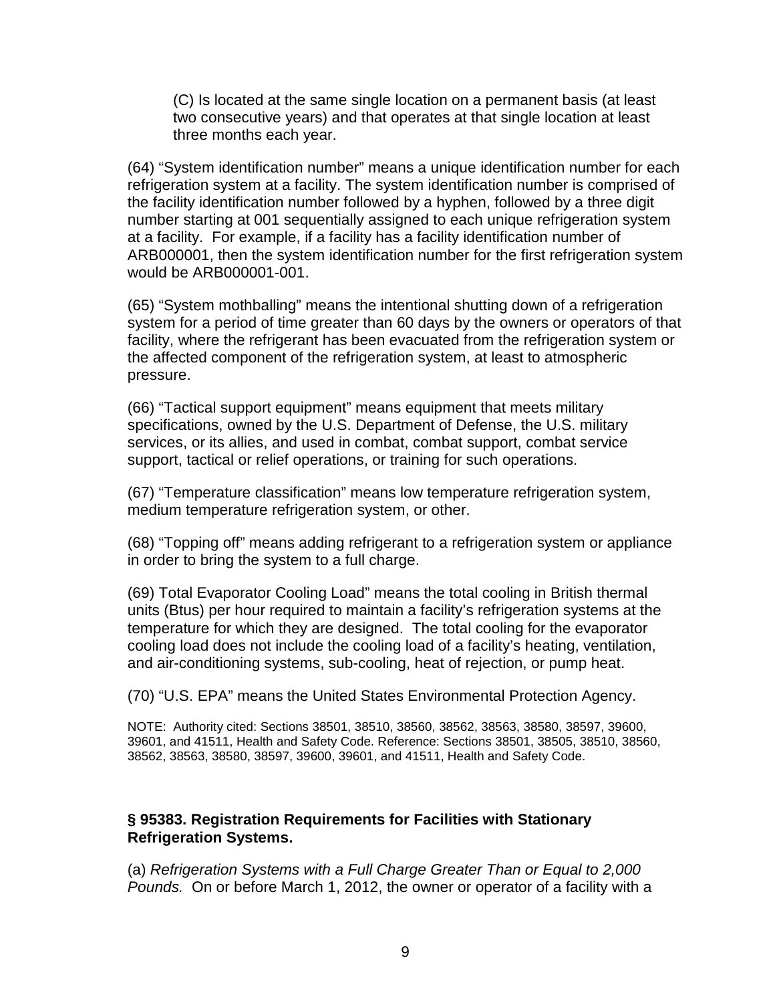(C) Is located at the same single location on a permanent basis (at least two consecutive years) and that operates at that single location at least three months each year.

(64) "System identification number" means a unique identification number for each refrigeration system at a facility. The system identification number is comprised of the facility identification number followed by a hyphen, followed by a three digit number starting at 001 sequentially assigned to each unique refrigeration system at a facility. For example, if a facility has a facility identification number of ARB000001, then the system identification number for the first refrigeration system would be ARB000001-001.

(65) "System mothballing" means the intentional shutting down of a refrigeration system for a period of time greater than 60 days by the owners or operators of that facility, where the refrigerant has been evacuated from the refrigeration system or the affected component of the refrigeration system, at least to atmospheric pressure.

(66) "Tactical support equipment" means equipment that meets military specifications, owned by the U.S. Department of Defense, the U.S. military services, or its allies, and used in combat, combat support, combat service support, tactical or relief operations, or training for such operations.

(67) "Temperature classification" means low temperature refrigeration system, medium temperature refrigeration system, or other.

(68) "Topping off" means adding refrigerant to a refrigeration system or appliance in order to bring the system to a full charge.

(69) Total Evaporator Cooling Load" means the total cooling in British thermal units (Btus) per hour required to maintain a facility's refrigeration systems at the temperature for which they are designed. The total cooling for the evaporator cooling load does not include the cooling load of a facility's heating, ventilation, and air-conditioning systems, sub-cooling, heat of rejection, or pump heat.

(70) "U.S. EPA" means the United States Environmental Protection Agency.

NOTE: Authority cited: Sections 38501, 38510, 38560, 38562, 38563, 38580, 38597, 39600, 39601, and 41511, Health and Safety Code. Reference: Sections 38501, 38505, 38510, 38560, 38562, 38563, 38580, 38597, 39600, 39601, and 41511, Health and Safety Code.

#### **§ 95383. Registration Requirements for Facilities with Stationary Refrigeration Systems.**

(a) Refrigeration Systems with a Full Charge Greater Than or Equal to 2,000 Pounds. On or before March 1, 2012, the owner or operator of a facility with a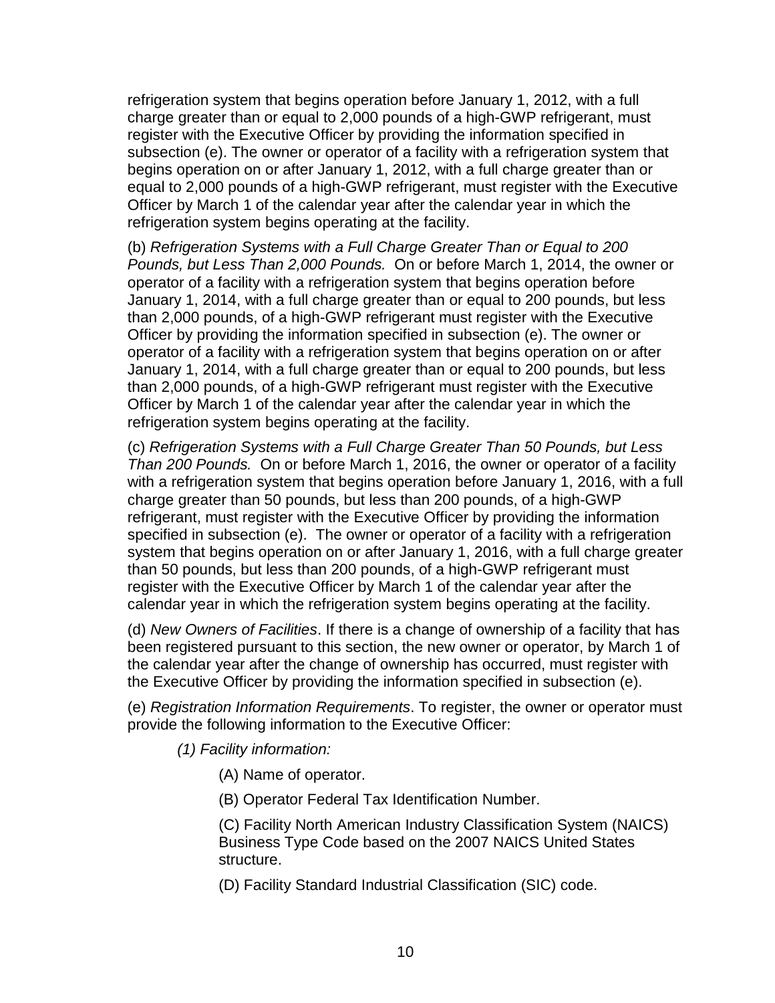refrigeration system that begins operation before January 1, 2012, with a full charge greater than or equal to 2,000 pounds of a high-GWP refrigerant, must register with the Executive Officer by providing the information specified in subsection (e). The owner or operator of a facility with a refrigeration system that begins operation on or after January 1, 2012, with a full charge greater than or equal to 2,000 pounds of a high-GWP refrigerant, must register with the Executive Officer by March 1 of the calendar year after the calendar year in which the refrigeration system begins operating at the facility.

(b) Refrigeration Systems with a Full Charge Greater Than or Equal to 200 Pounds, but Less Than 2,000 Pounds. On or before March 1, 2014, the owner or operator of a facility with a refrigeration system that begins operation before January 1, 2014, with a full charge greater than or equal to 200 pounds, but less than 2,000 pounds, of a high-GWP refrigerant must register with the Executive Officer by providing the information specified in subsection (e). The owner or operator of a facility with a refrigeration system that begins operation on or after January 1, 2014, with a full charge greater than or equal to 200 pounds, but less than 2,000 pounds, of a high-GWP refrigerant must register with the Executive Officer by March 1 of the calendar year after the calendar year in which the refrigeration system begins operating at the facility.

(c) Refrigeration Systems with a Full Charge Greater Than 50 Pounds, but Less Than 200 Pounds. On or before March 1, 2016, the owner or operator of a facility with a refrigeration system that begins operation before January 1, 2016, with a full charge greater than 50 pounds, but less than 200 pounds, of a high-GWP refrigerant, must register with the Executive Officer by providing the information specified in subsection (e). The owner or operator of a facility with a refrigeration system that begins operation on or after January 1, 2016, with a full charge greater than 50 pounds, but less than 200 pounds, of a high-GWP refrigerant must register with the Executive Officer by March 1 of the calendar year after the calendar year in which the refrigeration system begins operating at the facility.

(d) New Owners of Facilities. If there is a change of ownership of a facility that has been registered pursuant to this section, the new owner or operator, by March 1 of the calendar year after the change of ownership has occurred, must register with the Executive Officer by providing the information specified in subsection (e).

(e) Registration Information Requirements. To register, the owner or operator must provide the following information to the Executive Officer:

(1) Facility information:

(A) Name of operator.

(B) Operator Federal Tax Identification Number.

(C) Facility North American Industry Classification System (NAICS) Business Type Code based on the 2007 NAICS United States structure.

(D) Facility Standard Industrial Classification (SIC) code.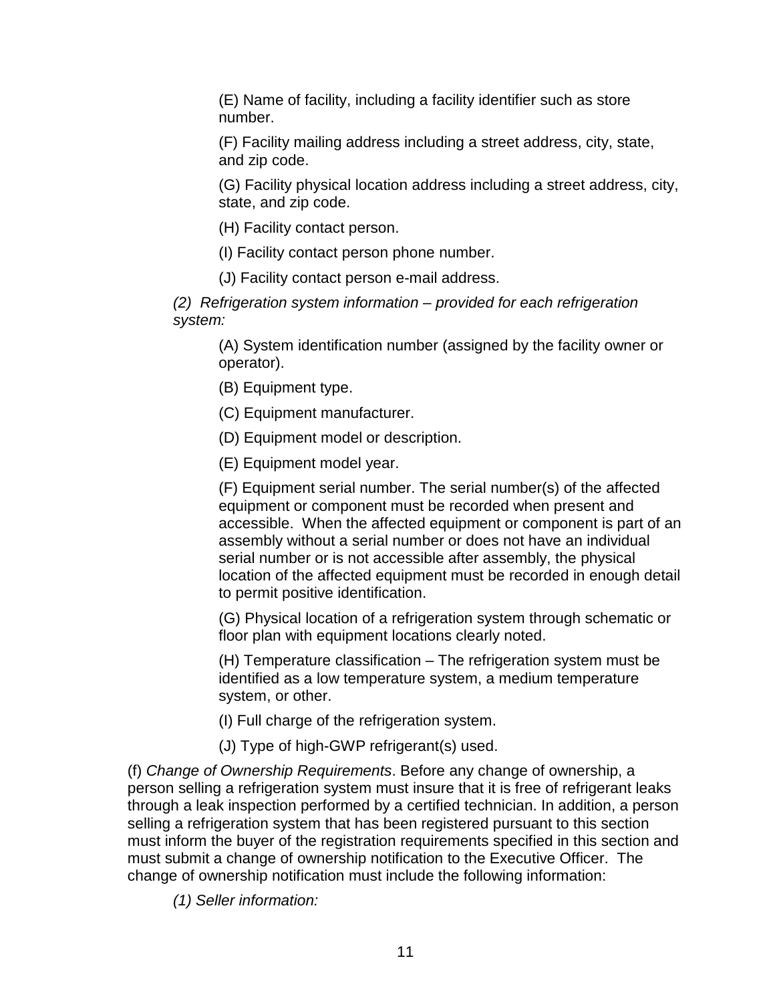(E) Name of facility, including a facility identifier such as store number.

(F) Facility mailing address including a street address, city, state, and zip code.

(G) Facility physical location address including a street address, city, state, and zip code.

(H) Facility contact person.

(I) Facility contact person phone number.

(J) Facility contact person e-mail address.

(2) Refrigeration system information – provided for each refrigeration system:

(A) System identification number (assigned by the facility owner or operator).

(B) Equipment type.

(C) Equipment manufacturer.

(D) Equipment model or description.

(E) Equipment model year.

(F) Equipment serial number. The serial number(s) of the affected equipment or component must be recorded when present and accessible. When the affected equipment or component is part of an assembly without a serial number or does not have an individual serial number or is not accessible after assembly, the physical location of the affected equipment must be recorded in enough detail to permit positive identification.

(G) Physical location of a refrigeration system through schematic or floor plan with equipment locations clearly noted.

(H) Temperature classification – The refrigeration system must be identified as a low temperature system, a medium temperature system, or other.

(I) Full charge of the refrigeration system.

(J) Type of high-GWP refrigerant(s) used.

(f) Change of Ownership Requirements. Before any change of ownership, a person selling a refrigeration system must insure that it is free of refrigerant leaks through a leak inspection performed by a certified technician. In addition, a person selling a refrigeration system that has been registered pursuant to this section must inform the buyer of the registration requirements specified in this section and must submit a change of ownership notification to the Executive Officer. The change of ownership notification must include the following information:

(1) Seller information: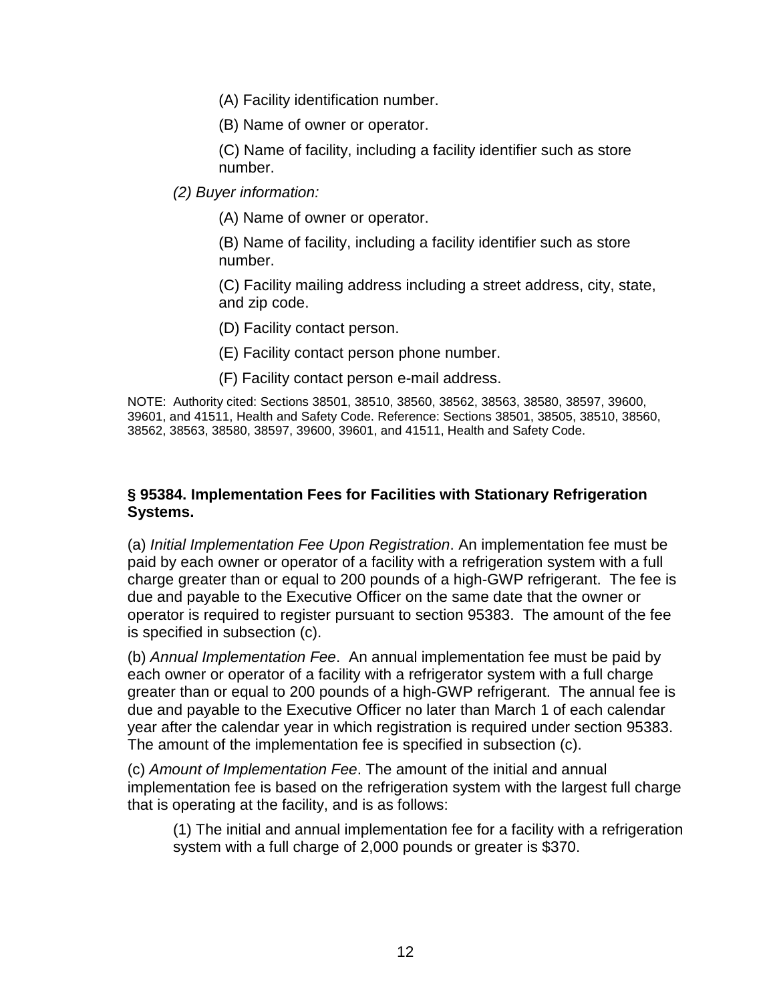(A) Facility identification number.

(B) Name of owner or operator.

(C) Name of facility, including a facility identifier such as store number.

(2) Buyer information:

(A) Name of owner or operator.

(B) Name of facility, including a facility identifier such as store number.

(C) Facility mailing address including a street address, city, state, and zip code.

(D) Facility contact person.

(E) Facility contact person phone number.

(F) Facility contact person e-mail address.

NOTE: Authority cited: Sections 38501, 38510, 38560, 38562, 38563, 38580, 38597, 39600, 39601, and 41511, Health and Safety Code. Reference: Sections 38501, 38505, 38510, 38560, 38562, 38563, 38580, 38597, 39600, 39601, and 41511, Health and Safety Code.

### **§ 95384. Implementation Fees for Facilities with Stationary Refrigeration Systems.**

(a) Initial Implementation Fee Upon Registration. An implementation fee must be paid by each owner or operator of a facility with a refrigeration system with a full charge greater than or equal to 200 pounds of a high-GWP refrigerant. The fee is due and payable to the Executive Officer on the same date that the owner or operator is required to register pursuant to section 95383. The amount of the fee is specified in subsection (c).

(b) Annual Implementation Fee. An annual implementation fee must be paid by each owner or operator of a facility with a refrigerator system with a full charge greater than or equal to 200 pounds of a high-GWP refrigerant. The annual fee is due and payable to the Executive Officer no later than March 1 of each calendar year after the calendar year in which registration is required under section 95383. The amount of the implementation fee is specified in subsection (c).

(c) Amount of Implementation Fee. The amount of the initial and annual implementation fee is based on the refrigeration system with the largest full charge that is operating at the facility, and is as follows:

(1) The initial and annual implementation fee for a facility with a refrigeration system with a full charge of 2,000 pounds or greater is \$370.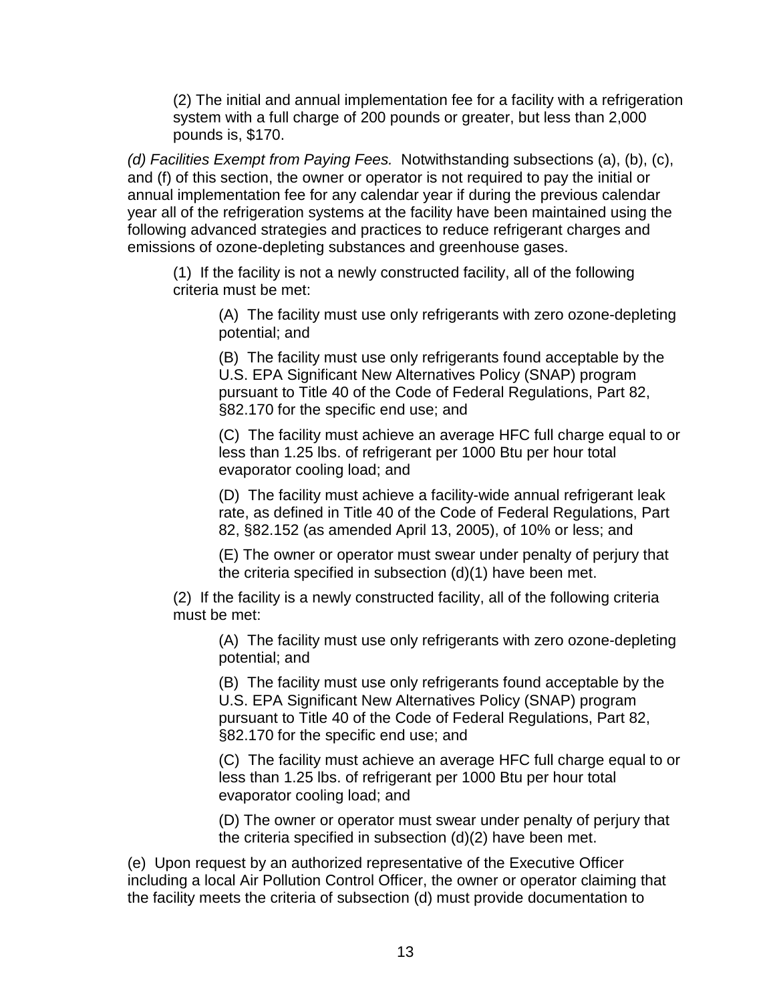(2) The initial and annual implementation fee for a facility with a refrigeration system with a full charge of 200 pounds or greater, but less than 2,000 pounds is, \$170.

(d) Facilities Exempt from Paying Fees. Notwithstanding subsections (a), (b), (c), and (f) of this section, the owner or operator is not required to pay the initial or annual implementation fee for any calendar year if during the previous calendar year all of the refrigeration systems at the facility have been maintained using the following advanced strategies and practices to reduce refrigerant charges and emissions of ozone-depleting substances and greenhouse gases.

(1) If the facility is not a newly constructed facility, all of the following criteria must be met:

(A) The facility must use only refrigerants with zero ozone-depleting potential; and

(B) The facility must use only refrigerants found acceptable by the U.S. EPA Significant New Alternatives Policy (SNAP) program pursuant to Title 40 of the Code of Federal Regulations, Part 82, §82.170 for the specific end use; and

(C) The facility must achieve an average HFC full charge equal to or less than 1.25 lbs. of refrigerant per 1000 Btu per hour total evaporator cooling load; and

(D) The facility must achieve a facility-wide annual refrigerant leak rate, as defined in Title 40 of the Code of Federal Regulations, Part 82, §82.152 (as amended April 13, 2005), of 10% or less; and

(E) The owner or operator must swear under penalty of perjury that the criteria specified in subsection (d)(1) have been met.

(2) If the facility is a newly constructed facility, all of the following criteria must be met:

(A) The facility must use only refrigerants with zero ozone-depleting potential; and

(B) The facility must use only refrigerants found acceptable by the U.S. EPA Significant New Alternatives Policy (SNAP) program pursuant to Title 40 of the Code of Federal Regulations, Part 82, §82.170 for the specific end use; and

(C) The facility must achieve an average HFC full charge equal to or less than 1.25 lbs. of refrigerant per 1000 Btu per hour total evaporator cooling load; and

(D) The owner or operator must swear under penalty of perjury that the criteria specified in subsection (d)(2) have been met.

(e) Upon request by an authorized representative of the Executive Officer including a local Air Pollution Control Officer, the owner or operator claiming that the facility meets the criteria of subsection (d) must provide documentation to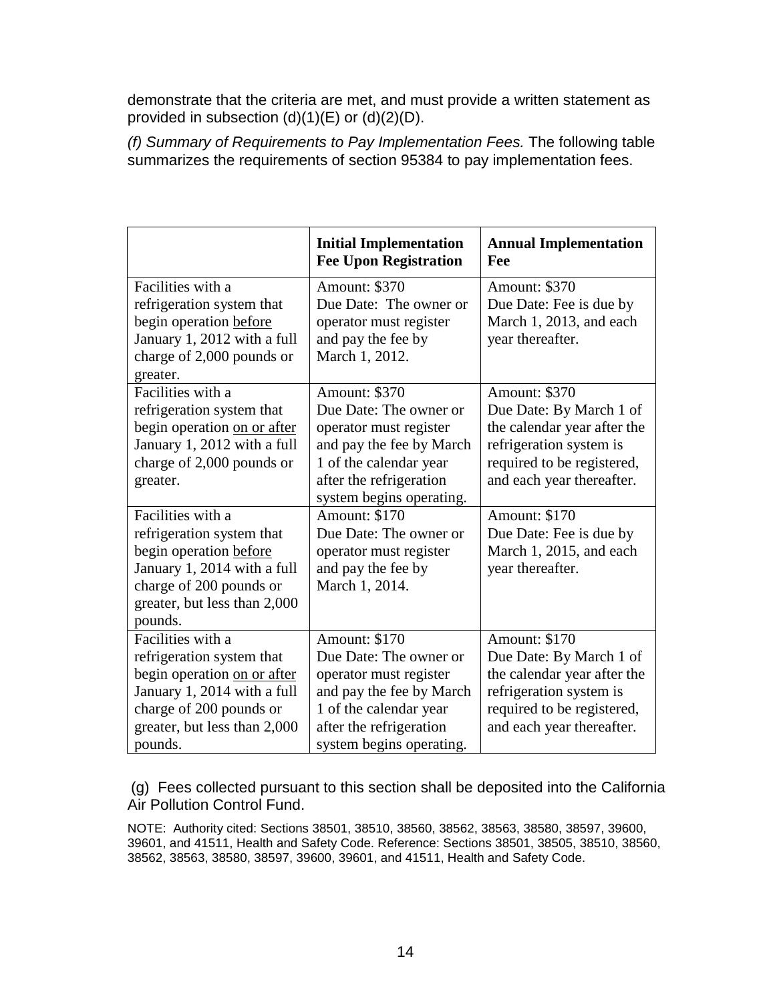demonstrate that the criteria are met, and must provide a written statement as provided in subsection (d)(1)(E) or (d)(2)(D).

(f) Summary of Requirements to Pay Implementation Fees. The following table summarizes the requirements of section 95384 to pay implementation fees.

|                                                                                                                                                                                    | <b>Initial Implementation</b><br><b>Fee Upon Registration</b>                                                                                                                  | <b>Annual Implementation</b><br>Fee                                                                                                                           |
|------------------------------------------------------------------------------------------------------------------------------------------------------------------------------------|--------------------------------------------------------------------------------------------------------------------------------------------------------------------------------|---------------------------------------------------------------------------------------------------------------------------------------------------------------|
| Facilities with a<br>refrigeration system that<br>begin operation before<br>January 1, 2012 with a full<br>charge of 2,000 pounds or<br>greater.                                   | Amount: \$370<br>Due Date: The owner or<br>operator must register<br>and pay the fee by<br>March 1, 2012.                                                                      | Amount: \$370<br>Due Date: Fee is due by<br>March 1, 2013, and each<br>year thereafter.                                                                       |
| Facilities with a<br>refrigeration system that<br>begin operation on or after<br>January 1, 2012 with a full<br>charge of 2,000 pounds or<br>greater.                              | Amount: \$370<br>Due Date: The owner or<br>operator must register<br>and pay the fee by March<br>1 of the calendar year<br>after the refrigeration<br>system begins operating. | Amount: \$370<br>Due Date: By March 1 of<br>the calendar year after the<br>refrigeration system is<br>required to be registered,<br>and each year thereafter. |
| Facilities with a<br>refrigeration system that<br>begin operation before<br>January 1, 2014 with a full<br>charge of 200 pounds or<br>greater, but less than 2,000<br>pounds.      | Amount: \$170<br>Due Date: The owner or<br>operator must register<br>and pay the fee by<br>March 1, 2014.                                                                      | Amount: \$170<br>Due Date: Fee is due by<br>March 1, 2015, and each<br>year thereafter.                                                                       |
| Facilities with a<br>refrigeration system that<br>begin operation on or after<br>January 1, 2014 with a full<br>charge of 200 pounds or<br>greater, but less than 2,000<br>pounds. | Amount: \$170<br>Due Date: The owner or<br>operator must register<br>and pay the fee by March<br>1 of the calendar year<br>after the refrigeration<br>system begins operating. | Amount: \$170<br>Due Date: By March 1 of<br>the calendar year after the<br>refrigeration system is<br>required to be registered,<br>and each year thereafter. |

(g) Fees collected pursuant to this section shall be deposited into the California Air Pollution Control Fund.

NOTE: Authority cited: Sections 38501, 38510, 38560, 38562, 38563, 38580, 38597, 39600, 39601, and 41511, Health and Safety Code. Reference: Sections 38501, 38505, 38510, 38560, 38562, 38563, 38580, 38597, 39600, 39601, and 41511, Health and Safety Code.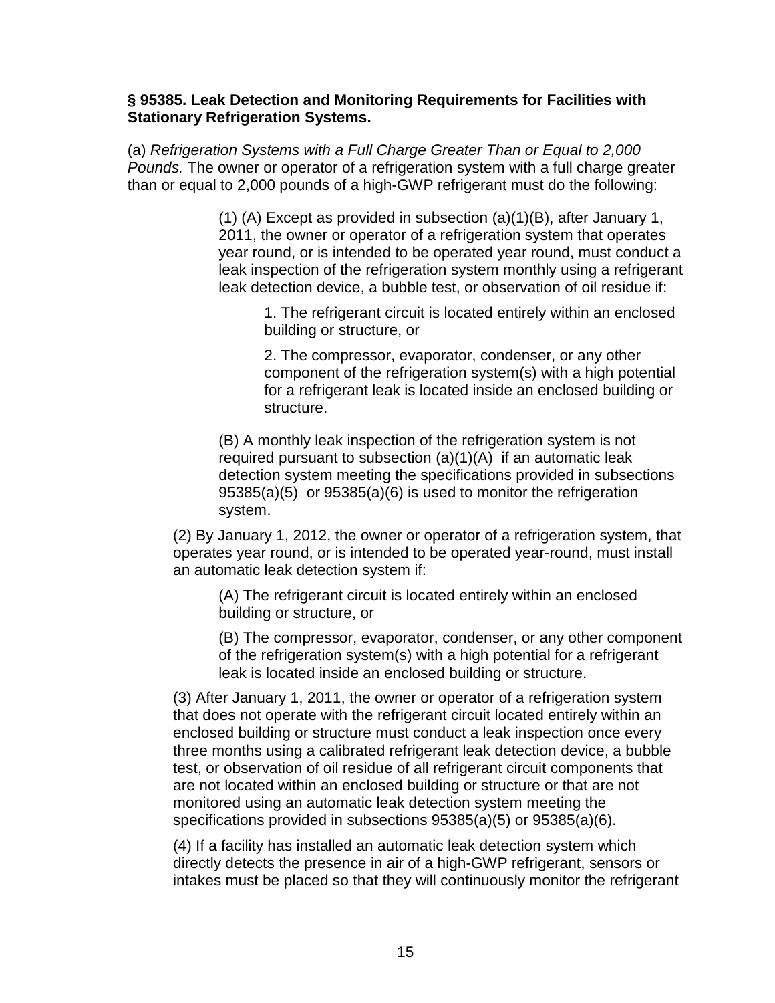#### **§ 95385. Leak Detection and Monitoring Requirements for Facilities with Stationary Refrigeration Systems.**

(a) Refrigeration Systems with a Full Charge Greater Than or Equal to 2,000 Pounds. The owner or operator of a refrigeration system with a full charge greater than or equal to 2,000 pounds of a high-GWP refrigerant must do the following:

> (1) (A) Except as provided in subsection (a)(1)(B), after January 1, 2011, the owner or operator of a refrigeration system that operates year round, or is intended to be operated year round, must conduct a leak inspection of the refrigeration system monthly using a refrigerant leak detection device, a bubble test, or observation of oil residue if:

1. The refrigerant circuit is located entirely within an enclosed building or structure, or

2. The compressor, evaporator, condenser, or any other component of the refrigeration system(s) with a high potential for a refrigerant leak is located inside an enclosed building or structure.

(B) A monthly leak inspection of the refrigeration system is not required pursuant to subsection (a)(1)(A) if an automatic leak detection system meeting the specifications provided in subsections 95385(a)(5) or 95385(a)(6) is used to monitor the refrigeration system.

(2) By January 1, 2012, the owner or operator of a refrigeration system, that operates year round, or is intended to be operated year-round, must install an automatic leak detection system if:

(A) The refrigerant circuit is located entirely within an enclosed building or structure, or

(B) The compressor, evaporator, condenser, or any other component of the refrigeration system(s) with a high potential for a refrigerant leak is located inside an enclosed building or structure.

(3) After January 1, 2011, the owner or operator of a refrigeration system that does not operate with the refrigerant circuit located entirely within an enclosed building or structure must conduct a leak inspection once every three months using a calibrated refrigerant leak detection device, a bubble test, or observation of oil residue of all refrigerant circuit components that are not located within an enclosed building or structure or that are not monitored using an automatic leak detection system meeting the specifications provided in subsections 95385(a)(5) or 95385(a)(6).

(4) If a facility has installed an automatic leak detection system which directly detects the presence in air of a high-GWP refrigerant, sensors or intakes must be placed so that they will continuously monitor the refrigerant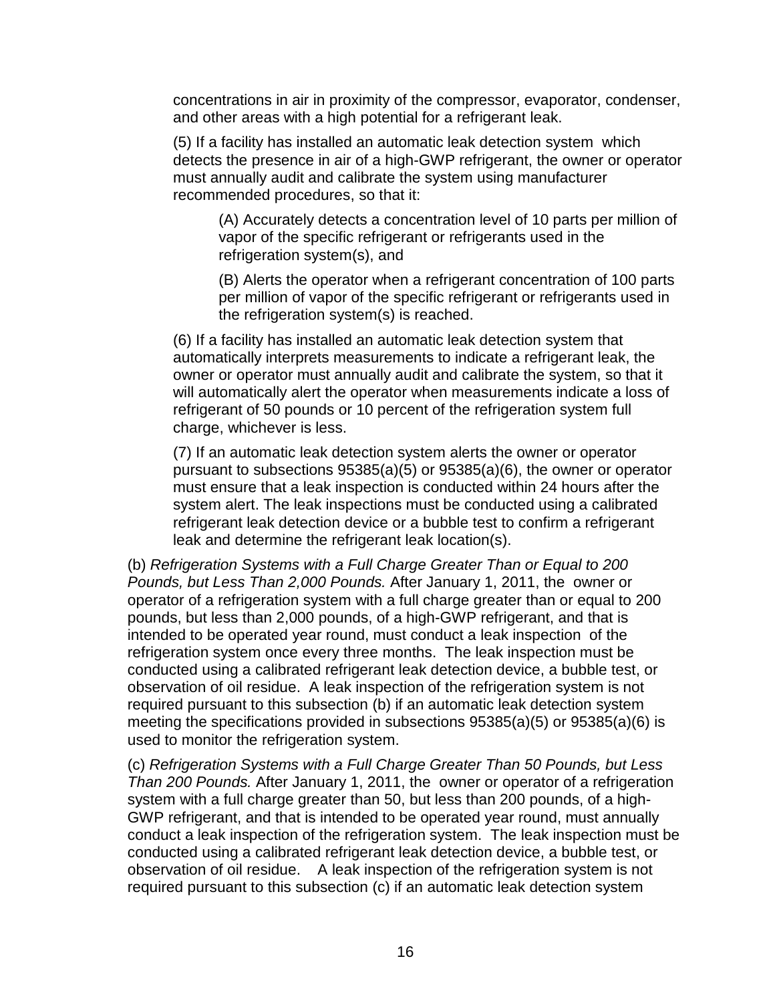concentrations in air in proximity of the compressor, evaporator, condenser, and other areas with a high potential for a refrigerant leak.

(5) If a facility has installed an automatic leak detection system which detects the presence in air of a high-GWP refrigerant, the owner or operator must annually audit and calibrate the system using manufacturer recommended procedures, so that it:

(A) Accurately detects a concentration level of 10 parts per million of vapor of the specific refrigerant or refrigerants used in the refrigeration system(s), and

(B) Alerts the operator when a refrigerant concentration of 100 parts per million of vapor of the specific refrigerant or refrigerants used in the refrigeration system(s) is reached.

(6) If a facility has installed an automatic leak detection system that automatically interprets measurements to indicate a refrigerant leak, the owner or operator must annually audit and calibrate the system, so that it will automatically alert the operator when measurements indicate a loss of refrigerant of 50 pounds or 10 percent of the refrigeration system full charge, whichever is less.

(7) If an automatic leak detection system alerts the owner or operator pursuant to subsections 95385(a)(5) or 95385(a)(6), the owner or operator must ensure that a leak inspection is conducted within 24 hours after the system alert. The leak inspections must be conducted using a calibrated refrigerant leak detection device or a bubble test to confirm a refrigerant leak and determine the refrigerant leak location(s).

(b) Refrigeration Systems with a Full Charge Greater Than or Equal to 200 Pounds, but Less Than 2,000 Pounds. After January 1, 2011, the owner or operator of a refrigeration system with a full charge greater than or equal to 200 pounds, but less than 2,000 pounds, of a high-GWP refrigerant, and that is intended to be operated year round, must conduct a leak inspection of the refrigeration system once every three months. The leak inspection must be conducted using a calibrated refrigerant leak detection device, a bubble test, or observation of oil residue. A leak inspection of the refrigeration system is not required pursuant to this subsection (b) if an automatic leak detection system meeting the specifications provided in subsections 95385(a)(5) or 95385(a)(6) is used to monitor the refrigeration system.

(c) Refrigeration Systems with a Full Charge Greater Than 50 Pounds, but Less Than 200 Pounds. After January 1, 2011, the owner or operator of a refrigeration system with a full charge greater than 50, but less than 200 pounds, of a high-GWP refrigerant, and that is intended to be operated year round, must annually conduct a leak inspection of the refrigeration system. The leak inspection must be conducted using a calibrated refrigerant leak detection device, a bubble test, or observation of oil residue. A leak inspection of the refrigeration system is not required pursuant to this subsection (c) if an automatic leak detection system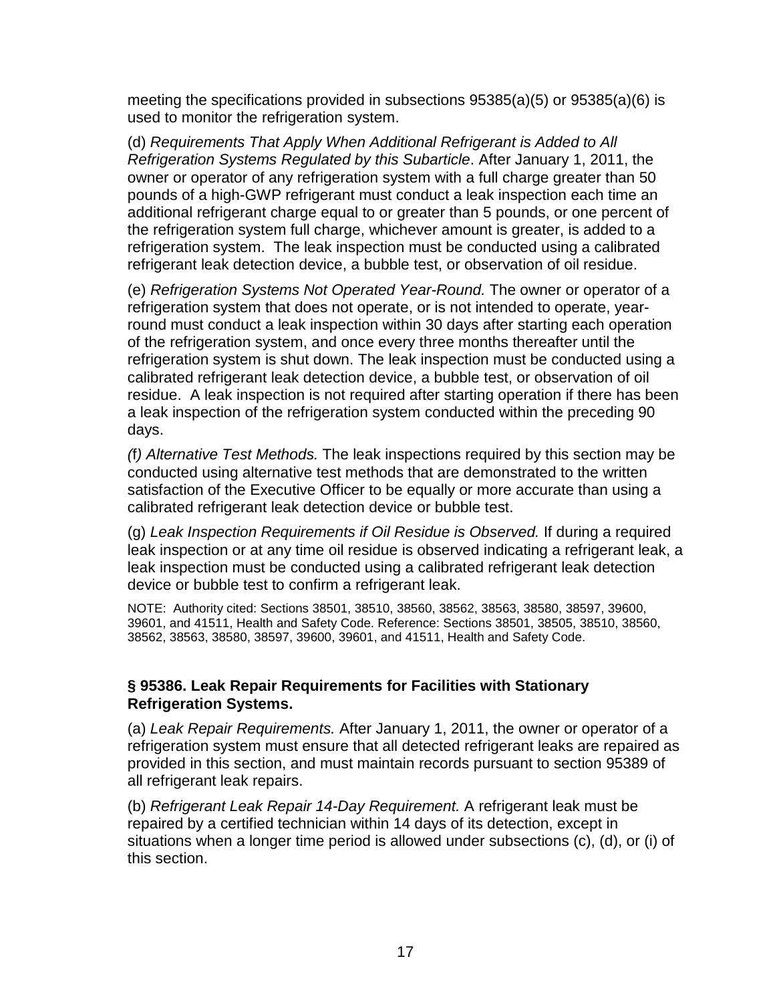meeting the specifications provided in subsections 95385(a)(5) or 95385(a)(6) is used to monitor the refrigeration system.

(d) Requirements That Apply When Additional Refrigerant is Added to All Refrigeration Systems Regulated by this Subarticle. After January 1, 2011, the owner or operator of any refrigeration system with a full charge greater than 50 pounds of a high-GWP refrigerant must conduct a leak inspection each time an additional refrigerant charge equal to or greater than 5 pounds, or one percent of the refrigeration system full charge, whichever amount is greater, is added to a refrigeration system. The leak inspection must be conducted using a calibrated refrigerant leak detection device, a bubble test, or observation of oil residue.

(e) Refrigeration Systems Not Operated Year-Round. The owner or operator of a refrigeration system that does not operate, or is not intended to operate, yearround must conduct a leak inspection within 30 days after starting each operation of the refrigeration system, and once every three months thereafter until the refrigeration system is shut down. The leak inspection must be conducted using a calibrated refrigerant leak detection device, a bubble test, or observation of oil residue. A leak inspection is not required after starting operation if there has been a leak inspection of the refrigeration system conducted within the preceding 90 days.

(f) Alternative Test Methods. The leak inspections required by this section may be conducted using alternative test methods that are demonstrated to the written satisfaction of the Executive Officer to be equally or more accurate than using a calibrated refrigerant leak detection device or bubble test.

(g) Leak Inspection Requirements if Oil Residue is Observed. If during a required leak inspection or at any time oil residue is observed indicating a refrigerant leak, a leak inspection must be conducted using a calibrated refrigerant leak detection device or bubble test to confirm a refrigerant leak.

NOTE: Authority cited: Sections 38501, 38510, 38560, 38562, 38563, 38580, 38597, 39600, 39601, and 41511, Health and Safety Code. Reference: Sections 38501, 38505, 38510, 38560, 38562, 38563, 38580, 38597, 39600, 39601, and 41511, Health and Safety Code.

## **§ 95386. Leak Repair Requirements for Facilities with Stationary Refrigeration Systems.**

(a) Leak Repair Requirements. After January 1, 2011, the owner or operator of a refrigeration system must ensure that all detected refrigerant leaks are repaired as provided in this section, and must maintain records pursuant to section 95389 of all refrigerant leak repairs.

(b) Refrigerant Leak Repair 14-Day Requirement. A refrigerant leak must be repaired by a certified technician within 14 days of its detection, except in situations when a longer time period is allowed under subsections (c), (d), or (i) of this section.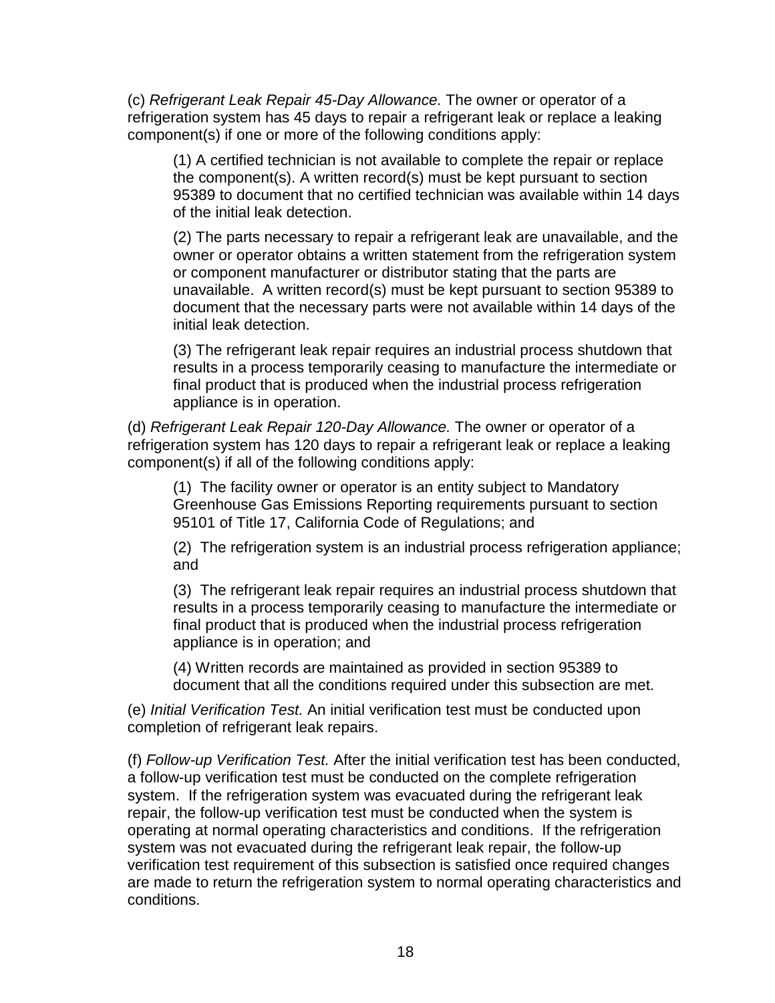(c) Refrigerant Leak Repair 45-Day Allowance. The owner or operator of a refrigeration system has 45 days to repair a refrigerant leak or replace a leaking component(s) if one or more of the following conditions apply:

(1) A certified technician is not available to complete the repair or replace the component(s). A written record(s) must be kept pursuant to section 95389 to document that no certified technician was available within 14 days of the initial leak detection.

(2) The parts necessary to repair a refrigerant leak are unavailable, and the owner or operator obtains a written statement from the refrigeration system or component manufacturer or distributor stating that the parts are unavailable. A written record(s) must be kept pursuant to section 95389 to document that the necessary parts were not available within 14 days of the initial leak detection.

(3) The refrigerant leak repair requires an industrial process shutdown that results in a process temporarily ceasing to manufacture the intermediate or final product that is produced when the industrial process refrigeration appliance is in operation.

(d) Refrigerant Leak Repair 120-Day Allowance. The owner or operator of a refrigeration system has 120 days to repair a refrigerant leak or replace a leaking component(s) if all of the following conditions apply:

(1) The facility owner or operator is an entity subject to Mandatory Greenhouse Gas Emissions Reporting requirements pursuant to section 95101 of Title 17, California Code of Regulations; and

(2) The refrigeration system is an industrial process refrigeration appliance; and

(3) The refrigerant leak repair requires an industrial process shutdown that results in a process temporarily ceasing to manufacture the intermediate or final product that is produced when the industrial process refrigeration appliance is in operation; and

(4) Written records are maintained as provided in section 95389 to document that all the conditions required under this subsection are met.

(e) Initial Verification Test. An initial verification test must be conducted upon completion of refrigerant leak repairs.

(f) Follow-up Verification Test. After the initial verification test has been conducted, a follow-up verification test must be conducted on the complete refrigeration system. If the refrigeration system was evacuated during the refrigerant leak repair, the follow-up verification test must be conducted when the system is operating at normal operating characteristics and conditions. If the refrigeration system was not evacuated during the refrigerant leak repair, the follow-up verification test requirement of this subsection is satisfied once required changes are made to return the refrigeration system to normal operating characteristics and conditions.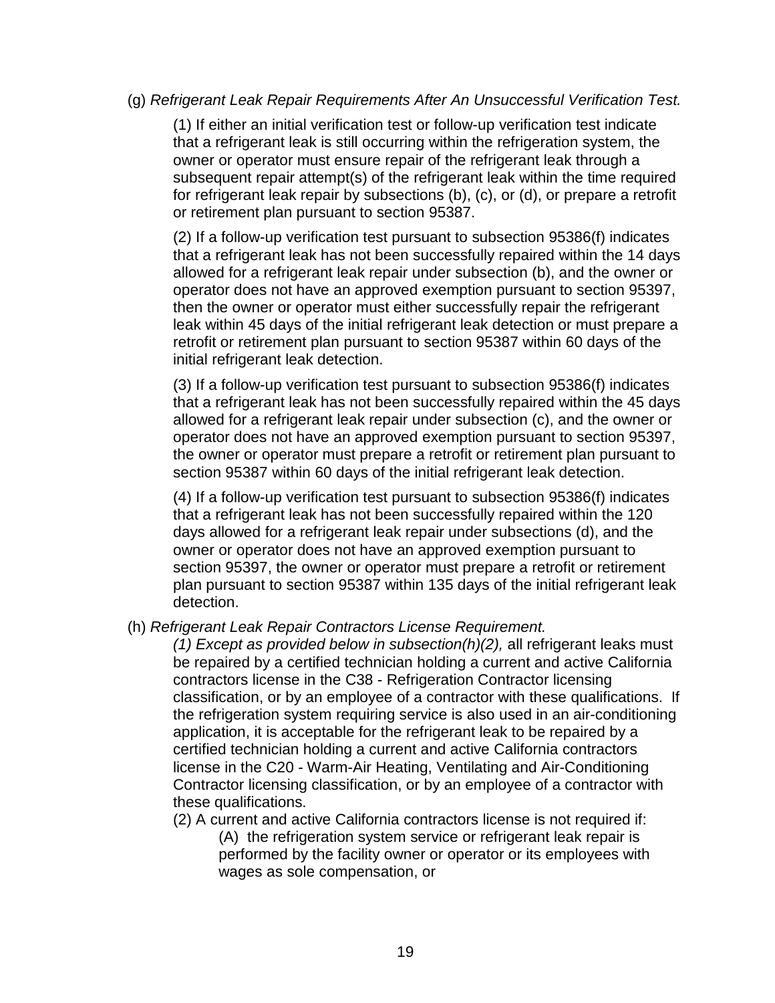### (g) Refrigerant Leak Repair Requirements After An Unsuccessful Verification Test.

(1) If either an initial verification test or follow-up verification test indicate that a refrigerant leak is still occurring within the refrigeration system, the owner or operator must ensure repair of the refrigerant leak through a subsequent repair attempt(s) of the refrigerant leak within the time required for refrigerant leak repair by subsections (b), (c), or (d), or prepare a retrofit or retirement plan pursuant to section 95387.

(2) If a follow-up verification test pursuant to subsection 95386(f) indicates that a refrigerant leak has not been successfully repaired within the 14 days allowed for a refrigerant leak repair under subsection (b), and the owner or operator does not have an approved exemption pursuant to section 95397, then the owner or operator must either successfully repair the refrigerant leak within 45 days of the initial refrigerant leak detection or must prepare a retrofit or retirement plan pursuant to section 95387 within 60 days of the initial refrigerant leak detection.

(3) If a follow-up verification test pursuant to subsection 95386(f) indicates that a refrigerant leak has not been successfully repaired within the 45 days allowed for a refrigerant leak repair under subsection (c), and the owner or operator does not have an approved exemption pursuant to section 95397, the owner or operator must prepare a retrofit or retirement plan pursuant to section 95387 within 60 days of the initial refrigerant leak detection.

(4) If a follow-up verification test pursuant to subsection 95386(f) indicates that a refrigerant leak has not been successfully repaired within the 120 days allowed for a refrigerant leak repair under subsections (d), and the owner or operator does not have an approved exemption pursuant to section 95397, the owner or operator must prepare a retrofit or retirement plan pursuant to section 95387 within 135 days of the initial refrigerant leak detection.

(h) Refrigerant Leak Repair Contractors License Requirement.

(1) Except as provided below in subsection( $h$ )(2), all refrigerant leaks must be repaired by a certified technician holding a current and active California contractors license in the C38 - Refrigeration Contractor licensing classification, or by an employee of a contractor with these qualifications. If the refrigeration system requiring service is also used in an air-conditioning application, it is acceptable for the refrigerant leak to be repaired by a certified technician holding a current and active California contractors license in the C20 - Warm-Air Heating, Ventilating and Air-Conditioning Contractor licensing classification, or by an employee of a contractor with these qualifications.

(2) A current and active California contractors license is not required if:

(A) the refrigeration system service or refrigerant leak repair is performed by the facility owner or operator or its employees with wages as sole compensation, or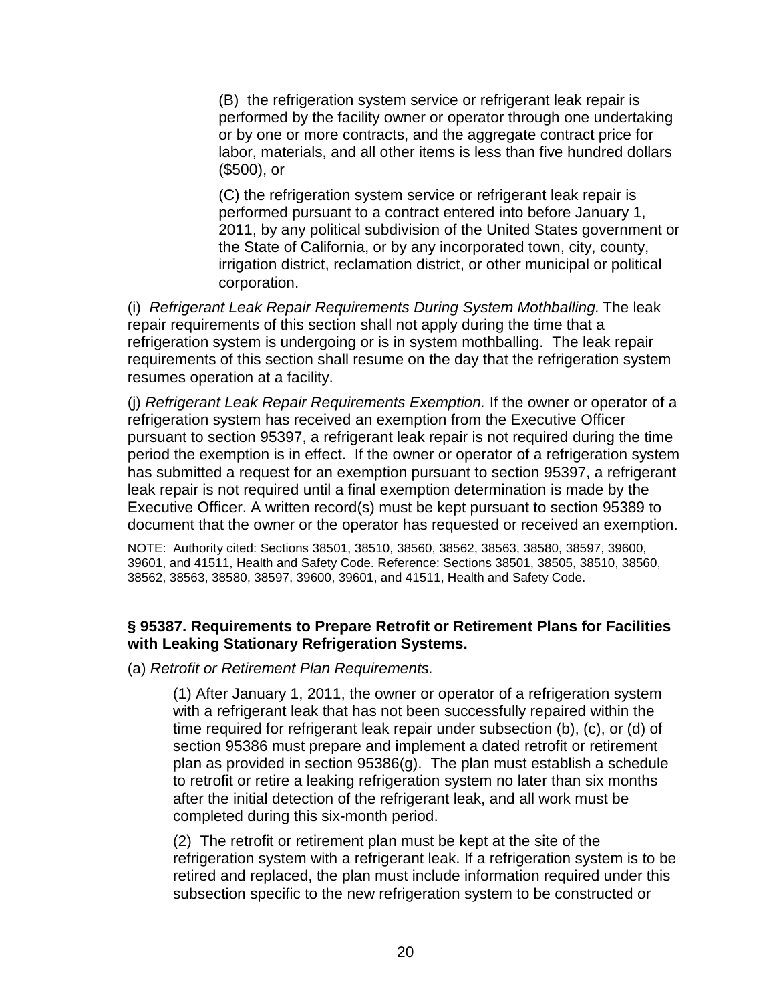(B) the refrigeration system service or refrigerant leak repair is performed by the facility owner or operator through one undertaking or by one or more contracts, and the aggregate contract price for labor, materials, and all other items is less than five hundred dollars (\$500), or

(C) the refrigeration system service or refrigerant leak repair is performed pursuant to a contract entered into before January 1, 2011, by any political subdivision of the United States government or the State of California, or by any incorporated town, city, county, irrigation district, reclamation district, or other municipal or political corporation.

(i) Refrigerant Leak Repair Requirements During System Mothballing. The leak repair requirements of this section shall not apply during the time that a refrigeration system is undergoing or is in system mothballing. The leak repair requirements of this section shall resume on the day that the refrigeration system resumes operation at a facility.

(j) Refrigerant Leak Repair Requirements Exemption. If the owner or operator of a refrigeration system has received an exemption from the Executive Officer pursuant to section 95397, a refrigerant leak repair is not required during the time period the exemption is in effect. If the owner or operator of a refrigeration system has submitted a request for an exemption pursuant to section 95397, a refrigerant leak repair is not required until a final exemption determination is made by the Executive Officer. A written record(s) must be kept pursuant to section 95389 to document that the owner or the operator has requested or received an exemption.

NOTE: Authority cited: Sections 38501, 38510, 38560, 38562, 38563, 38580, 38597, 39600, 39601, and 41511, Health and Safety Code. Reference: Sections 38501, 38505, 38510, 38560, 38562, 38563, 38580, 38597, 39600, 39601, and 41511, Health and Safety Code.

#### **§ 95387. Requirements to Prepare Retrofit or Retirement Plans for Facilities with Leaking Stationary Refrigeration Systems.**

(a) Retrofit or Retirement Plan Requirements.

(1) After January 1, 2011, the owner or operator of a refrigeration system with a refrigerant leak that has not been successfully repaired within the time required for refrigerant leak repair under subsection (b), (c), or (d) of section 95386 must prepare and implement a dated retrofit or retirement plan as provided in section 95386(g). The plan must establish a schedule to retrofit or retire a leaking refrigeration system no later than six months after the initial detection of the refrigerant leak, and all work must be completed during this six-month period.

(2) The retrofit or retirement plan must be kept at the site of the refrigeration system with a refrigerant leak. If a refrigeration system is to be retired and replaced, the plan must include information required under this subsection specific to the new refrigeration system to be constructed or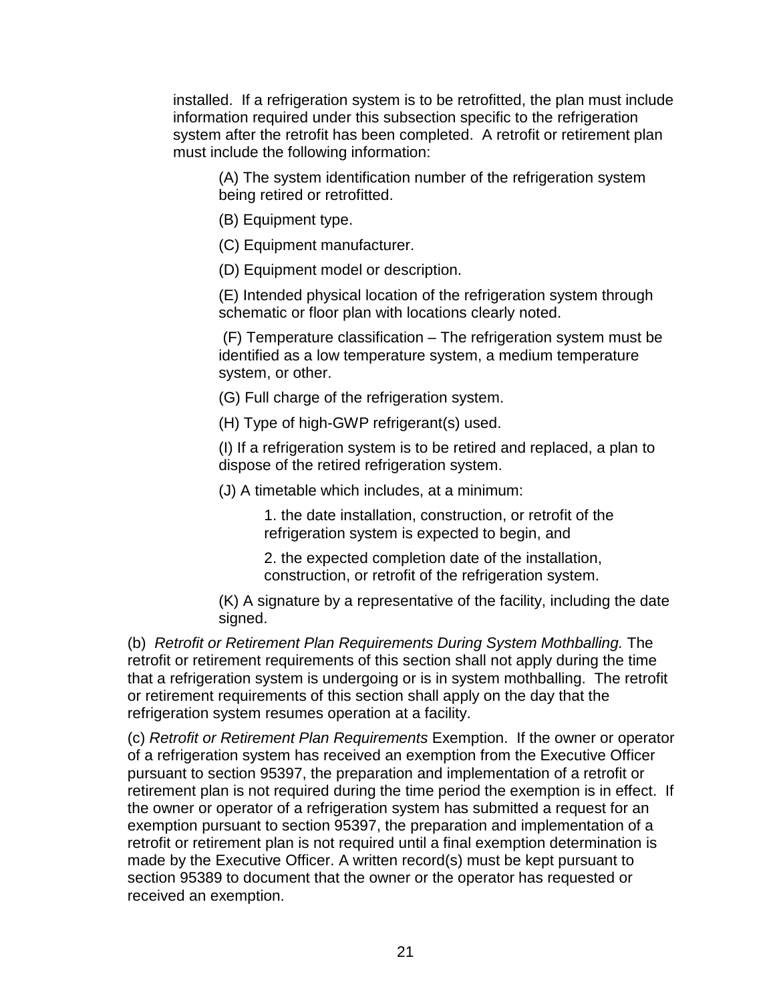installed. If a refrigeration system is to be retrofitted, the plan must include information required under this subsection specific to the refrigeration system after the retrofit has been completed. A retrofit or retirement plan must include the following information:

(A) The system identification number of the refrigeration system being retired or retrofitted.

(B) Equipment type.

(C) Equipment manufacturer.

(D) Equipment model or description.

(E) Intended physical location of the refrigeration system through schematic or floor plan with locations clearly noted.

 (F) Temperature classification – The refrigeration system must be identified as a low temperature system, a medium temperature system, or other.

(G) Full charge of the refrigeration system.

(H) Type of high-GWP refrigerant(s) used.

(I) If a refrigeration system is to be retired and replaced, a plan to dispose of the retired refrigeration system.

(J) A timetable which includes, at a minimum:

1. the date installation, construction, or retrofit of the refrigeration system is expected to begin, and

2. the expected completion date of the installation, construction, or retrofit of the refrigeration system.

(K) A signature by a representative of the facility, including the date signed.

(b) Retrofit or Retirement Plan Requirements During System Mothballing. The retrofit or retirement requirements of this section shall not apply during the time that a refrigeration system is undergoing or is in system mothballing. The retrofit or retirement requirements of this section shall apply on the day that the refrigeration system resumes operation at a facility.

(c) Retrofit or Retirement Plan Requirements Exemption. If the owner or operator of a refrigeration system has received an exemption from the Executive Officer pursuant to section 95397, the preparation and implementation of a retrofit or retirement plan is not required during the time period the exemption is in effect. If the owner or operator of a refrigeration system has submitted a request for an exemption pursuant to section 95397, the preparation and implementation of a retrofit or retirement plan is not required until a final exemption determination is made by the Executive Officer. A written record(s) must be kept pursuant to section 95389 to document that the owner or the operator has requested or received an exemption.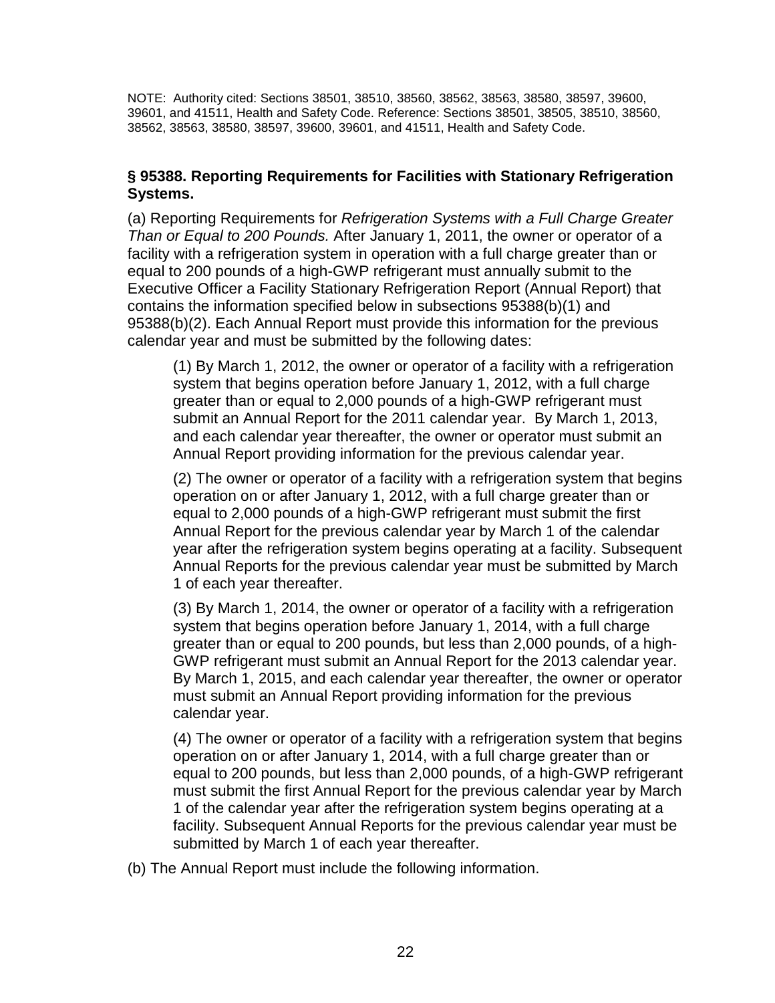NOTE: Authority cited: Sections 38501, 38510, 38560, 38562, 38563, 38580, 38597, 39600, 39601, and 41511, Health and Safety Code. Reference: Sections 38501, 38505, 38510, 38560, 38562, 38563, 38580, 38597, 39600, 39601, and 41511, Health and Safety Code.

### **§ 95388. Reporting Requirements for Facilities with Stationary Refrigeration Systems.**

(a) Reporting Requirements for Refrigeration Systems with a Full Charge Greater Than or Equal to 200 Pounds. After January 1, 2011, the owner or operator of a facility with a refrigeration system in operation with a full charge greater than or equal to 200 pounds of a high-GWP refrigerant must annually submit to the Executive Officer a Facility Stationary Refrigeration Report (Annual Report) that contains the information specified below in subsections 95388(b)(1) and 95388(b)(2). Each Annual Report must provide this information for the previous calendar year and must be submitted by the following dates:

(1) By March 1, 2012, the owner or operator of a facility with a refrigeration system that begins operation before January 1, 2012, with a full charge greater than or equal to 2,000 pounds of a high-GWP refrigerant must submit an Annual Report for the 2011 calendar year. By March 1, 2013, and each calendar year thereafter, the owner or operator must submit an Annual Report providing information for the previous calendar year.

(2) The owner or operator of a facility with a refrigeration system that begins operation on or after January 1, 2012, with a full charge greater than or equal to 2,000 pounds of a high-GWP refrigerant must submit the first Annual Report for the previous calendar year by March 1 of the calendar year after the refrigeration system begins operating at a facility. Subsequent Annual Reports for the previous calendar year must be submitted by March 1 of each year thereafter.

(3) By March 1, 2014, the owner or operator of a facility with a refrigeration system that begins operation before January 1, 2014, with a full charge greater than or equal to 200 pounds, but less than 2,000 pounds, of a high-GWP refrigerant must submit an Annual Report for the 2013 calendar year. By March 1, 2015, and each calendar year thereafter, the owner or operator must submit an Annual Report providing information for the previous calendar year.

(4) The owner or operator of a facility with a refrigeration system that begins operation on or after January 1, 2014, with a full charge greater than or equal to 200 pounds, but less than 2,000 pounds, of a high-GWP refrigerant must submit the first Annual Report for the previous calendar year by March 1 of the calendar year after the refrigeration system begins operating at a facility. Subsequent Annual Reports for the previous calendar year must be submitted by March 1 of each year thereafter.

(b) The Annual Report must include the following information.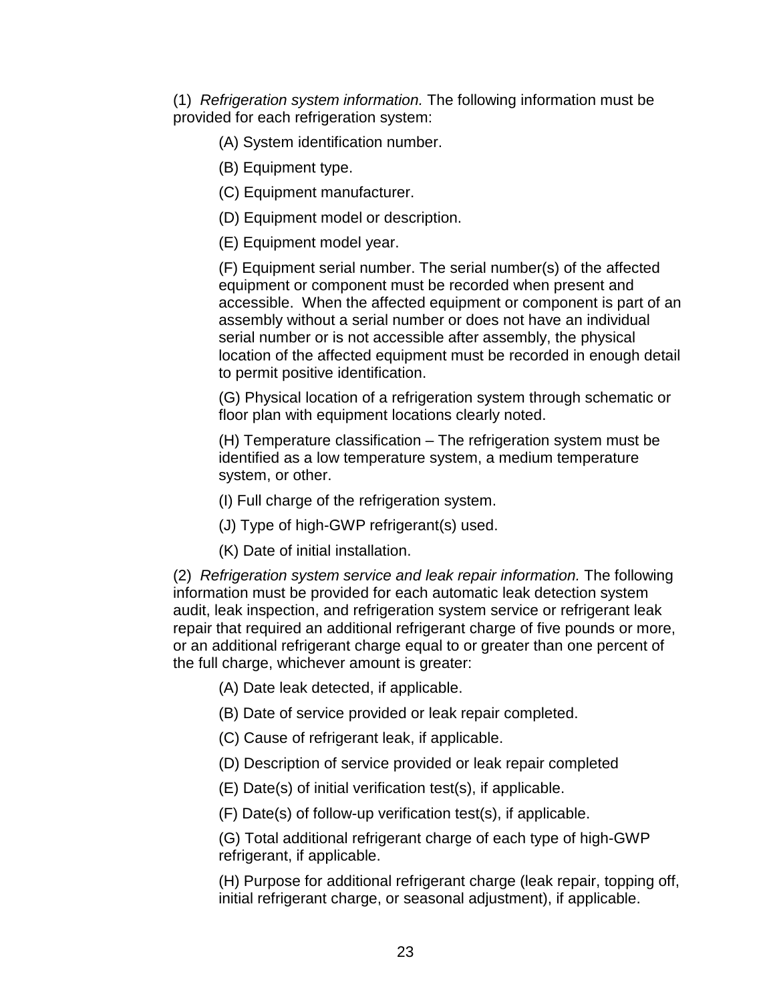(1) Refrigeration system information. The following information must be provided for each refrigeration system:

- (A) System identification number.
- (B) Equipment type.
- (C) Equipment manufacturer.
- (D) Equipment model or description.
- (E) Equipment model year.

(F) Equipment serial number. The serial number(s) of the affected equipment or component must be recorded when present and accessible. When the affected equipment or component is part of an assembly without a serial number or does not have an individual serial number or is not accessible after assembly, the physical location of the affected equipment must be recorded in enough detail to permit positive identification.

(G) Physical location of a refrigeration system through schematic or floor plan with equipment locations clearly noted.

(H) Temperature classification – The refrigeration system must be identified as a low temperature system, a medium temperature system, or other.

(I) Full charge of the refrigeration system.

- (J) Type of high-GWP refrigerant(s) used.
- (K) Date of initial installation.

(2) Refrigeration system service and leak repair information. The following information must be provided for each automatic leak detection system audit, leak inspection, and refrigeration system service or refrigerant leak repair that required an additional refrigerant charge of five pounds or more, or an additional refrigerant charge equal to or greater than one percent of the full charge, whichever amount is greater:

- (A) Date leak detected, if applicable.
- (B) Date of service provided or leak repair completed.
- (C) Cause of refrigerant leak, if applicable.
- (D) Description of service provided or leak repair completed
- (E) Date(s) of initial verification test(s), if applicable.
- (F) Date(s) of follow-up verification test(s), if applicable.

(G) Total additional refrigerant charge of each type of high-GWP refrigerant, if applicable.

(H) Purpose for additional refrigerant charge (leak repair, topping off, initial refrigerant charge, or seasonal adjustment), if applicable.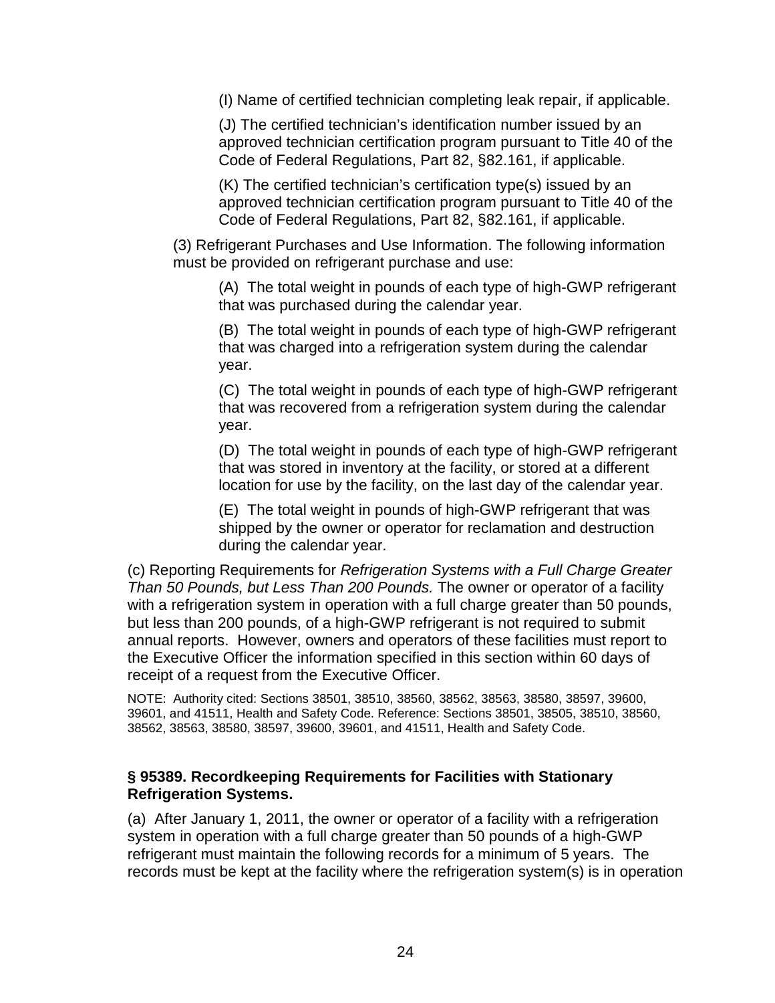(I) Name of certified technician completing leak repair, if applicable.

(J) The certified technician's identification number issued by an approved technician certification program pursuant to Title 40 of the Code of Federal Regulations, Part 82, §82.161, if applicable.

(K) The certified technician's certification type(s) issued by an approved technician certification program pursuant to Title 40 of the Code of Federal Regulations, Part 82, §82.161, if applicable.

(3) Refrigerant Purchases and Use Information. The following information must be provided on refrigerant purchase and use:

(A) The total weight in pounds of each type of high-GWP refrigerant that was purchased during the calendar year.

(B) The total weight in pounds of each type of high-GWP refrigerant that was charged into a refrigeration system during the calendar year.

(C) The total weight in pounds of each type of high-GWP refrigerant that was recovered from a refrigeration system during the calendar year.

(D) The total weight in pounds of each type of high-GWP refrigerant that was stored in inventory at the facility, or stored at a different location for use by the facility, on the last day of the calendar year.

(E) The total weight in pounds of high-GWP refrigerant that was shipped by the owner or operator for reclamation and destruction during the calendar year.

(c) Reporting Requirements for Refrigeration Systems with a Full Charge Greater Than 50 Pounds, but Less Than 200 Pounds. The owner or operator of a facility with a refrigeration system in operation with a full charge greater than 50 pounds, but less than 200 pounds, of a high-GWP refrigerant is not required to submit annual reports. However, owners and operators of these facilities must report to the Executive Officer the information specified in this section within 60 days of receipt of a request from the Executive Officer.

NOTE: Authority cited: Sections 38501, 38510, 38560, 38562, 38563, 38580, 38597, 39600, 39601, and 41511, Health and Safety Code. Reference: Sections 38501, 38505, 38510, 38560, 38562, 38563, 38580, 38597, 39600, 39601, and 41511, Health and Safety Code.

#### **§ 95389. Recordkeeping Requirements for Facilities with Stationary Refrigeration Systems.**

(a)After January 1, 2011, the owner or operator of a facility with a refrigeration system in operation with a full charge greater than 50 pounds of a high-GWP refrigerant must maintain the following records for a minimum of 5 years. The records must be kept at the facility where the refrigeration system(s) is in operation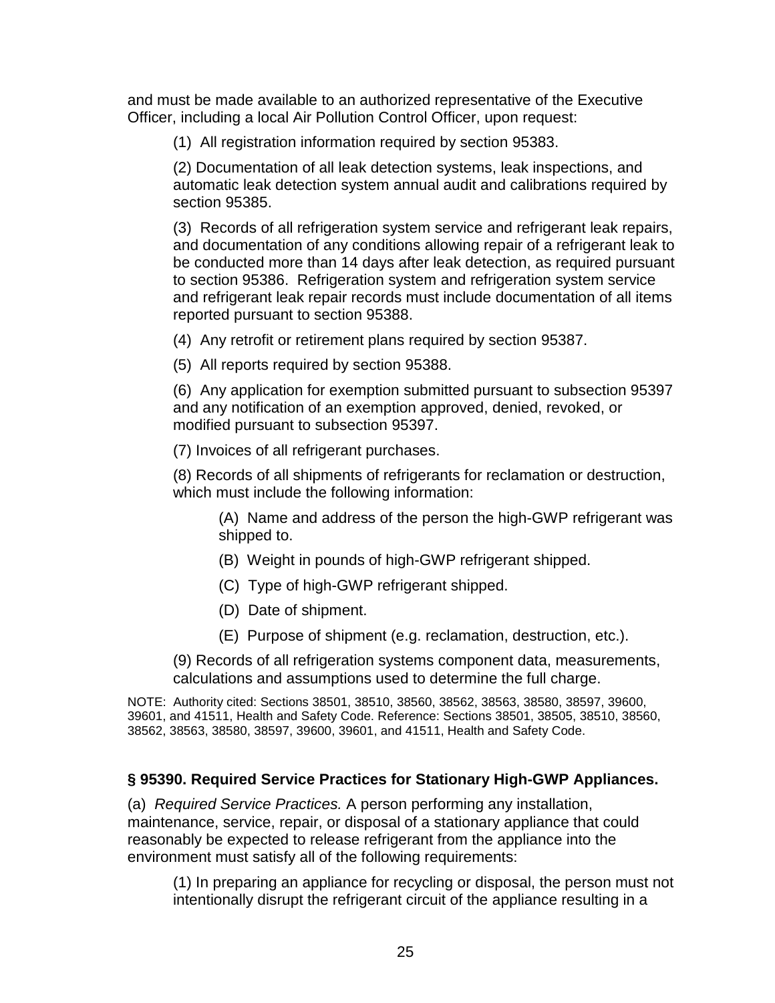and must be made available to an authorized representative of the Executive Officer, including a local Air Pollution Control Officer, upon request:

(1) All registration information required by section 95383.

(2) Documentation of all leak detection systems, leak inspections, and automatic leak detection system annual audit and calibrations required by section 95385.

(3) Records of all refrigeration system service and refrigerant leak repairs, and documentation of any conditions allowing repair of a refrigerant leak to be conducted more than 14 days after leak detection, as required pursuant to section 95386. Refrigeration system and refrigeration system service and refrigerant leak repair records must include documentation of all items reported pursuant to section 95388.

(4) Any retrofit or retirement plans required by section 95387.

(5) All reports required by section 95388.

(6) Any application for exemption submitted pursuant to subsection 95397 and any notification of an exemption approved, denied, revoked, or modified pursuant to subsection 95397.

(7) Invoices of all refrigerant purchases.

(8) Records of all shipments of refrigerants for reclamation or destruction, which must include the following information:

(A) Name and address of the person the high-GWP refrigerant was shipped to.

- (B) Weight in pounds of high-GWP refrigerant shipped.
- (C) Type of high-GWP refrigerant shipped.
- (D) Date of shipment.
- (E) Purpose of shipment (e.g. reclamation, destruction, etc.).

(9) Records of all refrigeration systems component data, measurements, calculations and assumptions used to determine the full charge.

NOTE: Authority cited: Sections 38501, 38510, 38560, 38562, 38563, 38580, 38597, 39600, 39601, and 41511, Health and Safety Code. Reference: Sections 38501, 38505, 38510, 38560, 38562, 38563, 38580, 38597, 39600, 39601, and 41511, Health and Safety Code.

### **§ 95390. Required Service Practices for Stationary High-GWP Appliances.**

(a) Required Service Practices. A person performing any installation, maintenance, service, repair, or disposal of a stationary appliance that could reasonably be expected to release refrigerant from the appliance into the environment must satisfy all of the following requirements:

(1) In preparing an appliance for recycling or disposal, the person must not intentionally disrupt the refrigerant circuit of the appliance resulting in a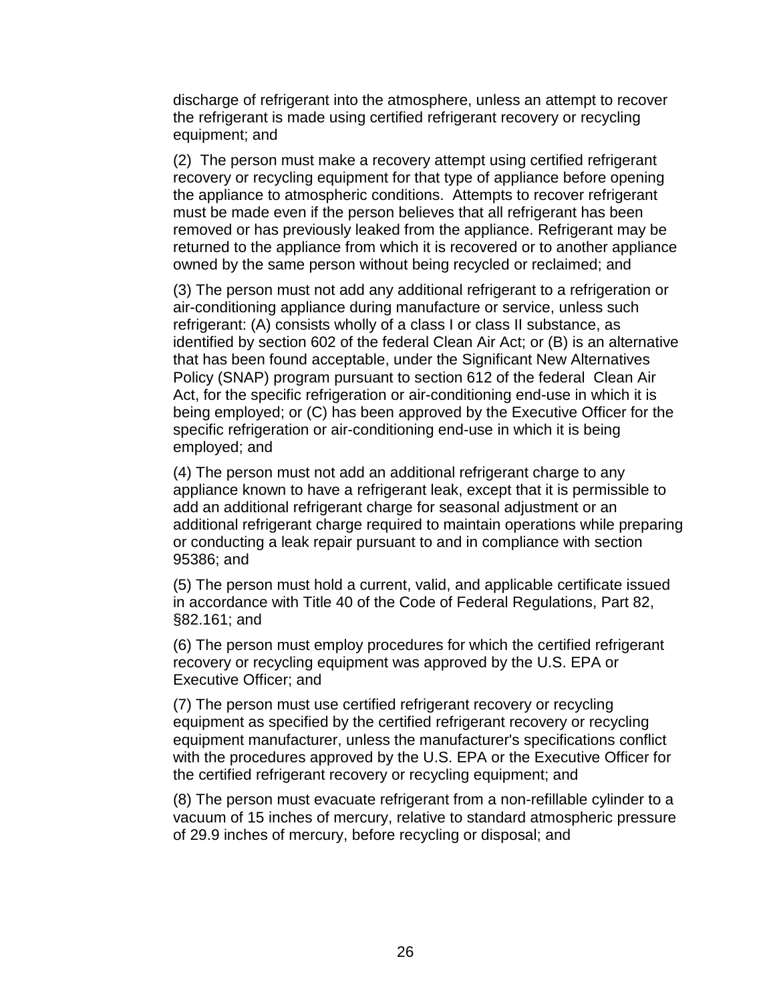discharge of refrigerant into the atmosphere, unless an attempt to recover the refrigerant is made using certified refrigerant recovery or recycling equipment; and

(2) The person must make a recovery attempt using certified refrigerant recovery or recycling equipment for that type of appliance before opening the appliance to atmospheric conditions. Attempts to recover refrigerant must be made even if the person believes that all refrigerant has been removed or has previously leaked from the appliance. Refrigerant may be returned to the appliance from which it is recovered or to another appliance owned by the same person without being recycled or reclaimed; and

(3) The person must not add any additional refrigerant to a refrigeration or air-conditioning appliance during manufacture or service, unless such refrigerant: (A) consists wholly of a class I or class II substance, as identified by section 602 of the federal Clean Air Act; or (B) is an alternative that has been found acceptable, under the Significant New Alternatives Policy (SNAP) program pursuant to section 612 of the federal Clean Air Act, for the specific refrigeration or air-conditioning end-use in which it is being employed; or (C) has been approved by the Executive Officer for the specific refrigeration or air-conditioning end-use in which it is being employed; and

(4) The person must not add an additional refrigerant charge to any appliance known to have a refrigerant leak, except that it is permissible to add an additional refrigerant charge for seasonal adjustment or an additional refrigerant charge required to maintain operations while preparing or conducting a leak repair pursuant to and in compliance with section 95386; and

(5) The person must hold a current, valid, and applicable certificate issued in accordance with Title 40 of the Code of Federal Regulations, Part 82, §82.161; and

(6) The person must employ procedures for which the certified refrigerant recovery or recycling equipment was approved by the U.S. EPA or Executive Officer; and

(7) The person must use certified refrigerant recovery or recycling equipment as specified by the certified refrigerant recovery or recycling equipment manufacturer, unless the manufacturer's specifications conflict with the procedures approved by the U.S. EPA or the Executive Officer for the certified refrigerant recovery or recycling equipment; and

(8) The person must evacuate refrigerant from a non-refillable cylinder to a vacuum of 15 inches of mercury, relative to standard atmospheric pressure of 29.9 inches of mercury, before recycling or disposal; and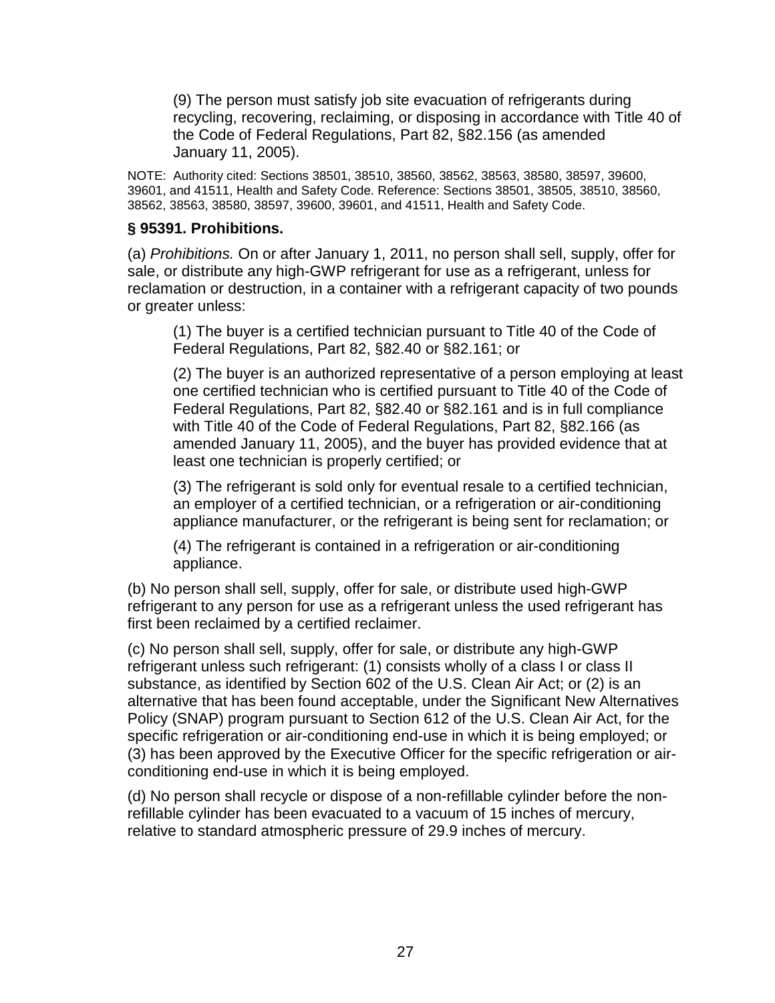(9) The person must satisfy job site evacuation of refrigerants during recycling, recovering, reclaiming, or disposing in accordance with Title 40 of the Code of Federal Regulations, Part 82, §82.156 (as amended January 11, 2005).

NOTE: Authority cited: Sections 38501, 38510, 38560, 38562, 38563, 38580, 38597, 39600, 39601, and 41511, Health and Safety Code. Reference: Sections 38501, 38505, 38510, 38560, 38562, 38563, 38580, 38597, 39600, 39601, and 41511, Health and Safety Code.

### **§ 95391. Prohibitions.**

(a) Prohibitions. On or after January 1, 2011, no person shall sell, supply, offer for sale, or distribute any high-GWP refrigerant for use as a refrigerant, unless for reclamation or destruction, in a container with a refrigerant capacity of two pounds or greater unless:

(1) The buyer is a certified technician pursuant to Title 40 of the Code of Federal Regulations, Part 82, §82.40 or §82.161; or

(2) The buyer is an authorized representative of a person employing at least one certified technician who is certified pursuant to Title 40 of the Code of Federal Regulations, Part 82, §82.40 or §82.161 and is in full compliance with Title 40 of the Code of Federal Regulations, Part 82, §82.166 (as amended January 11, 2005), and the buyer has provided evidence that at least one technician is properly certified; or

(3) The refrigerant is sold only for eventual resale to a certified technician, an employer of a certified technician, or a refrigeration or air-conditioning appliance manufacturer, or the refrigerant is being sent for reclamation; or

(4) The refrigerant is contained in a refrigeration or air-conditioning appliance.

(b) No person shall sell, supply, offer for sale, or distribute used high-GWP refrigerant to any person for use as a refrigerant unless the used refrigerant has first been reclaimed by a certified reclaimer.

(c) No person shall sell, supply, offer for sale, or distribute any high-GWP refrigerant unless such refrigerant: (1) consists wholly of a class I or class II substance, as identified by Section 602 of the U.S. Clean Air Act; or (2) is an alternative that has been found acceptable, under the Significant New Alternatives Policy (SNAP) program pursuant to Section 612 of the U.S. Clean Air Act, for the specific refrigeration or air-conditioning end-use in which it is being employed; or (3) has been approved by the Executive Officer for the specific refrigeration or airconditioning end-use in which it is being employed.

(d) No person shall recycle or dispose of a non-refillable cylinder before the nonrefillable cylinder has been evacuated to a vacuum of 15 inches of mercury, relative to standard atmospheric pressure of 29.9 inches of mercury.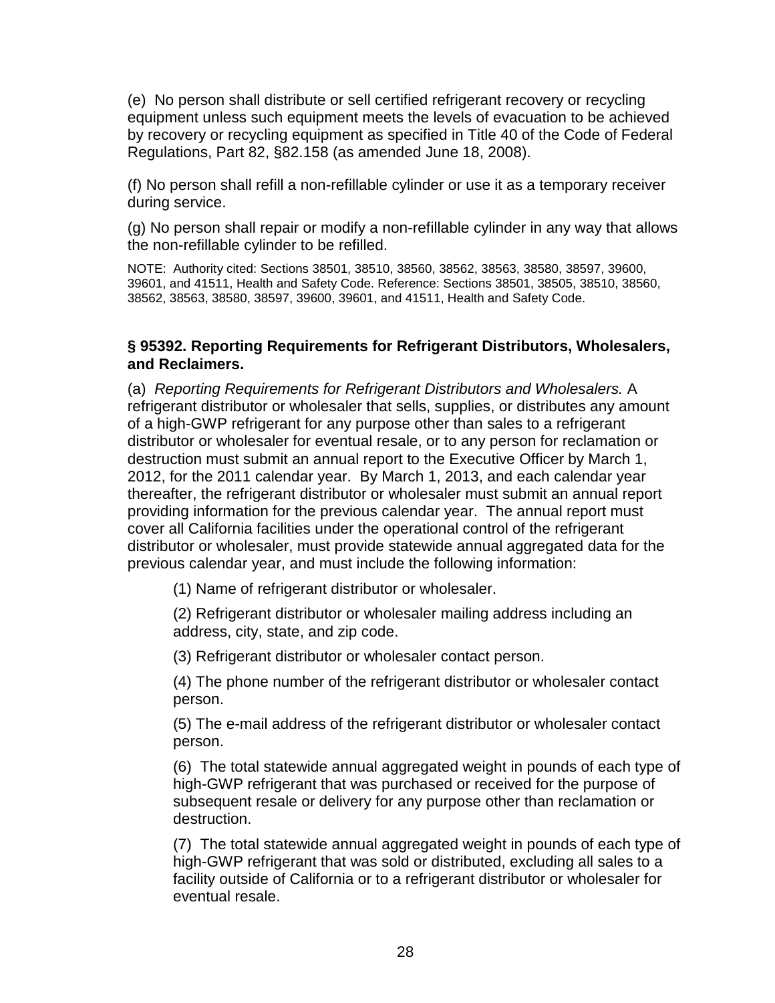(e) No person shall distribute or sell certified refrigerant recovery or recycling equipment unless such equipment meets the levels of evacuation to be achieved by recovery or recycling equipment as specified in Title 40 of the Code of Federal Regulations, Part 82, §82.158 (as amended June 18, 2008).

(f) No person shall refill a non-refillable cylinder or use it as a temporary receiver during service.

(g) No person shall repair or modify a non-refillable cylinder in any way that allows the non-refillable cylinder to be refilled.

NOTE: Authority cited: Sections 38501, 38510, 38560, 38562, 38563, 38580, 38597, 39600, 39601, and 41511, Health and Safety Code. Reference: Sections 38501, 38505, 38510, 38560, 38562, 38563, 38580, 38597, 39600, 39601, and 41511, Health and Safety Code.

#### **§ 95392. Reporting Requirements for Refrigerant Distributors, Wholesalers, and Reclaimers.**

(a) Reporting Requirements for Refrigerant Distributors and Wholesalers. A refrigerant distributor or wholesaler that sells, supplies, or distributes any amount of a high-GWP refrigerant for any purpose other than sales to a refrigerant distributor or wholesaler for eventual resale, or to any person for reclamation or destruction must submit an annual report to the Executive Officer by March 1, 2012, for the 2011 calendar year. By March 1, 2013, and each calendar year thereafter, the refrigerant distributor or wholesaler must submit an annual report providing information for the previous calendar year. The annual report must cover all California facilities under the operational control of the refrigerant distributor or wholesaler, must provide statewide annual aggregated data for the previous calendar year, and must include the following information:

(1) Name of refrigerant distributor or wholesaler.

(2) Refrigerant distributor or wholesaler mailing address including an address, city, state, and zip code.

(3) Refrigerant distributor or wholesaler contact person.

(4) The phone number of the refrigerant distributor or wholesaler contact person.

(5) The e-mail address of the refrigerant distributor or wholesaler contact person.

(6) The total statewide annual aggregated weight in pounds of each type of high-GWP refrigerant that was purchased or received for the purpose of subsequent resale or delivery for any purpose other than reclamation or destruction.

(7) The total statewide annual aggregated weight in pounds of each type of high-GWP refrigerant that was sold or distributed, excluding all sales to a facility outside of California or to a refrigerant distributor or wholesaler for eventual resale.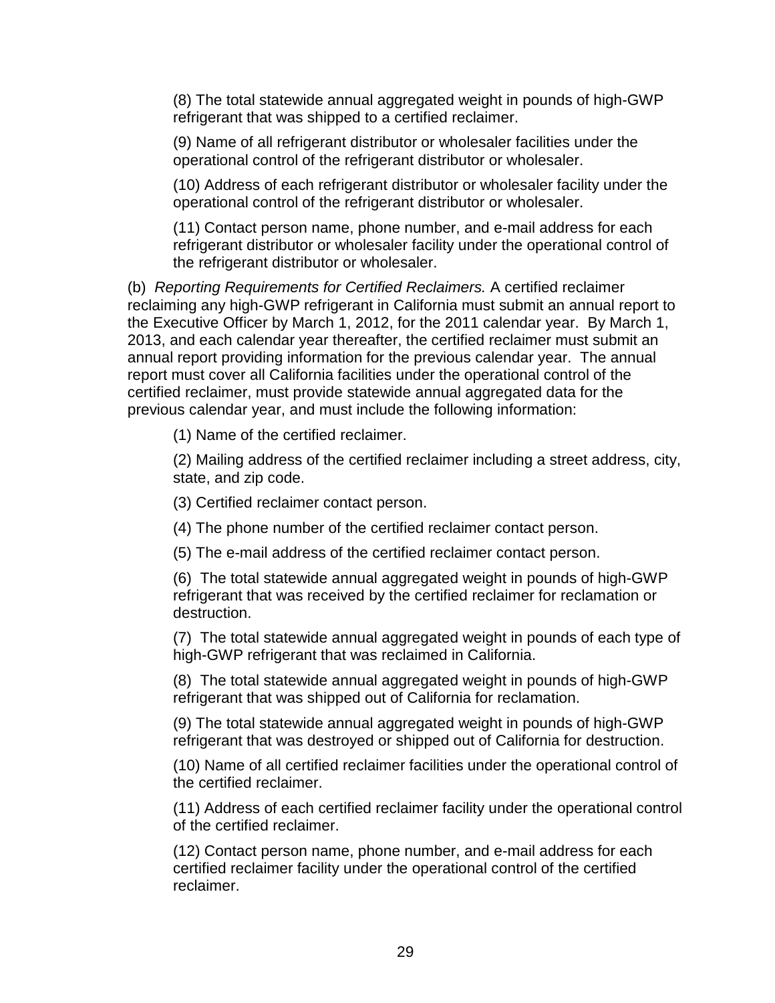(8) The total statewide annual aggregated weight in pounds of high-GWP refrigerant that was shipped to a certified reclaimer.

(9) Name of all refrigerant distributor or wholesaler facilities under the operational control of the refrigerant distributor or wholesaler.

(10) Address of each refrigerant distributor or wholesaler facility under the operational control of the refrigerant distributor or wholesaler.

(11) Contact person name, phone number, and e-mail address for each refrigerant distributor or wholesaler facility under the operational control of the refrigerant distributor or wholesaler.

(b) Reporting Requirements for Certified Reclaimers. A certified reclaimer reclaiming any high-GWP refrigerant in California must submit an annual report to the Executive Officer by March 1, 2012, for the 2011 calendar year. By March 1, 2013, and each calendar year thereafter, the certified reclaimer must submit an annual report providing information for the previous calendar year. The annual report must cover all California facilities under the operational control of the certified reclaimer, must provide statewide annual aggregated data for the previous calendar year, and must include the following information:

(1) Name of the certified reclaimer.

(2) Mailing address of the certified reclaimer including a street address, city, state, and zip code.

(3) Certified reclaimer contact person.

(4) The phone number of the certified reclaimer contact person.

(5) The e-mail address of the certified reclaimer contact person.

(6) The total statewide annual aggregated weight in pounds of high-GWP refrigerant that was received by the certified reclaimer for reclamation or destruction.

(7) The total statewide annual aggregated weight in pounds of each type of high-GWP refrigerant that was reclaimed in California.

(8) The total statewide annual aggregated weight in pounds of high-GWP refrigerant that was shipped out of California for reclamation.

(9) The total statewide annual aggregated weight in pounds of high-GWP refrigerant that was destroyed or shipped out of California for destruction.

(10) Name of all certified reclaimer facilities under the operational control of the certified reclaimer.

(11) Address of each certified reclaimer facility under the operational control of the certified reclaimer.

(12) Contact person name, phone number, and e-mail address for each certified reclaimer facility under the operational control of the certified reclaimer.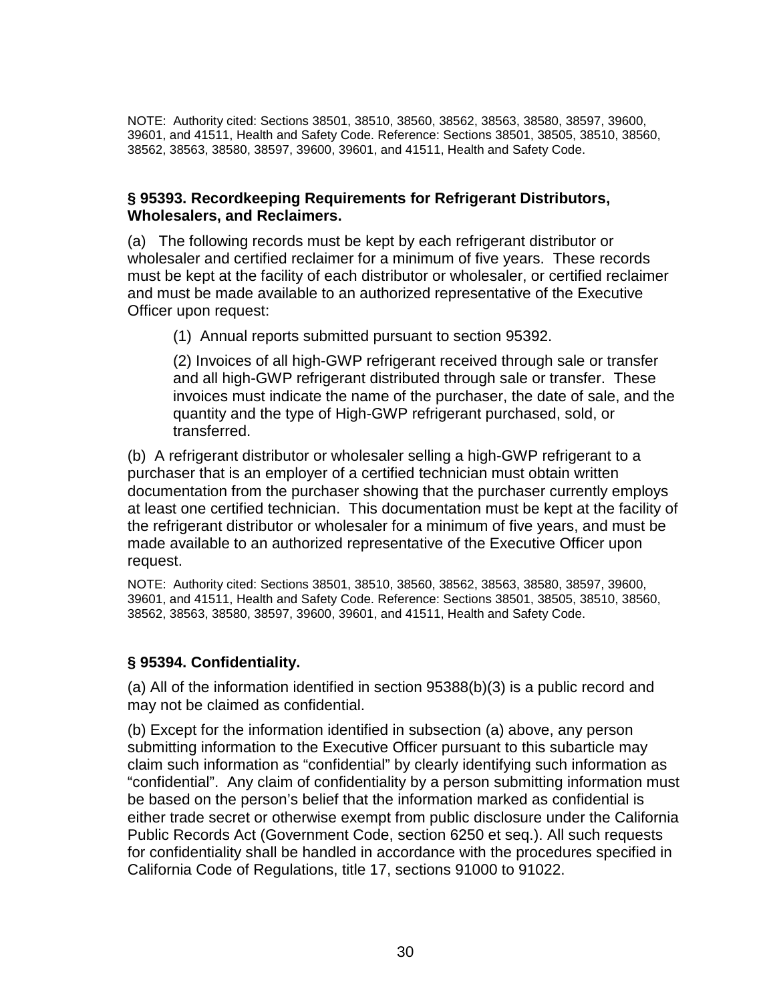NOTE: Authority cited: Sections 38501, 38510, 38560, 38562, 38563, 38580, 38597, 39600, 39601, and 41511, Health and Safety Code. Reference: Sections 38501, 38505, 38510, 38560, 38562, 38563, 38580, 38597, 39600, 39601, and 41511, Health and Safety Code.

### **§ 95393. Recordkeeping Requirements for Refrigerant Distributors, Wholesalers, and Reclaimers.**

(a) The following records must be kept by each refrigerant distributor or wholesaler and certified reclaimer for a minimum of five years. These records must be kept at the facility of each distributor or wholesaler, or certified reclaimer and must be made available to an authorized representative of the Executive Officer upon request:

(1) Annual reports submitted pursuant to section 95392.

(2) Invoices of all high-GWP refrigerant received through sale or transfer and all high-GWP refrigerant distributed through sale or transfer. These invoices must indicate the name of the purchaser, the date of sale, and the quantity and the type of High-GWP refrigerant purchased, sold, or transferred.

(b) A refrigerant distributor or wholesaler selling a high-GWP refrigerant to a purchaser that is an employer of a certified technician must obtain written documentation from the purchaser showing that the purchaser currently employs at least one certified technician. This documentation must be kept at the facility of the refrigerant distributor or wholesaler for a minimum of five years, and must be made available to an authorized representative of the Executive Officer upon request.

NOTE: Authority cited: Sections 38501, 38510, 38560, 38562, 38563, 38580, 38597, 39600, 39601, and 41511, Health and Safety Code. Reference: Sections 38501, 38505, 38510, 38560, 38562, 38563, 38580, 38597, 39600, 39601, and 41511, Health and Safety Code.

### **§ 95394. Confidentiality.**

(a) All of the information identified in section 95388(b)(3) is a public record and may not be claimed as confidential.

(b) Except for the information identified in subsection (a) above, any person submitting information to the Executive Officer pursuant to this subarticle may claim such information as "confidential" by clearly identifying such information as "confidential". Any claim of confidentiality by a person submitting information must be based on the person's belief that the information marked as confidential is either trade secret or otherwise exempt from public disclosure under the California Public Records Act (Government Code, section 6250 et seq.). All such requests for confidentiality shall be handled in accordance with the procedures specified in California Code of Regulations, title 17, sections 91000 to 91022.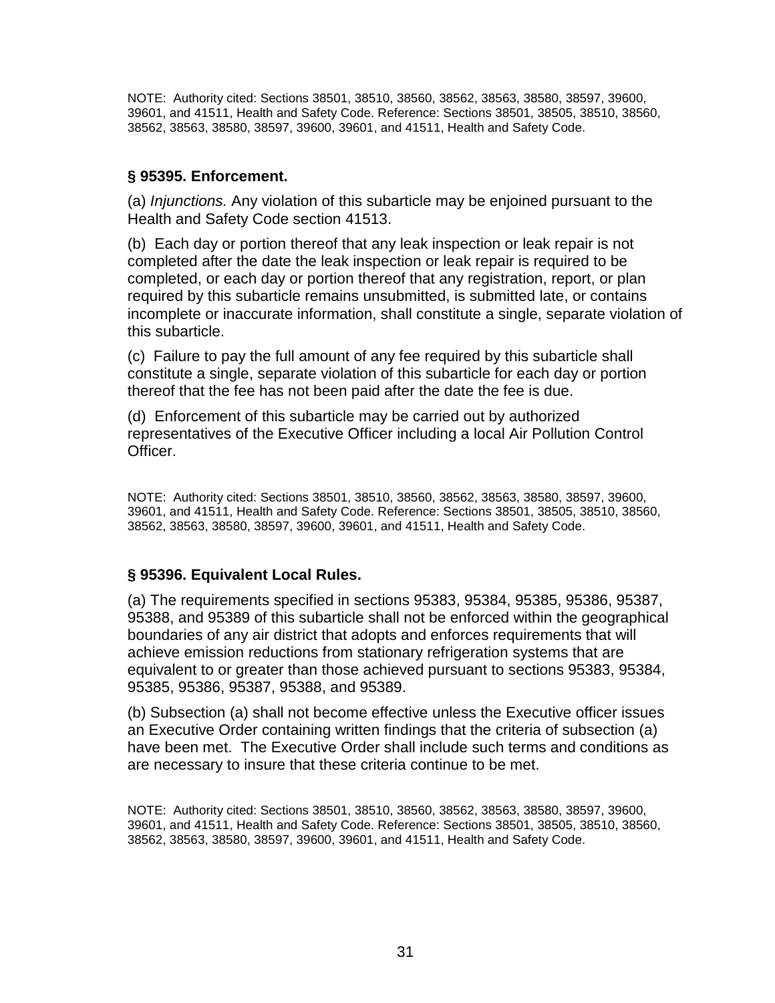NOTE: Authority cited: Sections 38501, 38510, 38560, 38562, 38563, 38580, 38597, 39600, 39601, and 41511, Health and Safety Code. Reference: Sections 38501, 38505, 38510, 38560, 38562, 38563, 38580, 38597, 39600, 39601, and 41511, Health and Safety Code.

## **§ 95395. Enforcement.**

(a) Injunctions. Any violation of this subarticle may be enjoined pursuant to the Health and Safety Code section 41513.

(b) Each day or portion thereof that any leak inspection or leak repair is not completed after the date the leak inspection or leak repair is required to be completed, or each day or portion thereof that any registration, report, or plan required by this subarticle remains unsubmitted, is submitted late, or contains incomplete or inaccurate information, shall constitute a single, separate violation of this subarticle.

(c) Failure to pay the full amount of any fee required by this subarticle shall constitute a single, separate violation of this subarticle for each day or portion thereof that the fee has not been paid after the date the fee is due.

(d) Enforcement of this subarticle may be carried out by authorized representatives of the Executive Officer including a local Air Pollution Control Officer.

NOTE: Authority cited: Sections 38501, 38510, 38560, 38562, 38563, 38580, 38597, 39600, 39601, and 41511, Health and Safety Code. Reference: Sections 38501, 38505, 38510, 38560, 38562, 38563, 38580, 38597, 39600, 39601, and 41511, Health and Safety Code.

# **§ 95396. Equivalent Local Rules.**

(a) The requirements specified in sections 95383, 95384, 95385, 95386, 95387, 95388, and 95389 of this subarticle shall not be enforced within the geographical boundaries of any air district that adopts and enforces requirements that will achieve emission reductions from stationary refrigeration systems that are equivalent to or greater than those achieved pursuant to sections 95383, 95384, 95385, 95386, 95387, 95388, and 95389.

(b) Subsection (a) shall not become effective unless the Executive officer issues an Executive Order containing written findings that the criteria of subsection (a) have been met. The Executive Order shall include such terms and conditions as are necessary to insure that these criteria continue to be met.

NOTE: Authority cited: Sections 38501, 38510, 38560, 38562, 38563, 38580, 38597, 39600, 39601, and 41511, Health and Safety Code. Reference: Sections 38501, 38505, 38510, 38560, 38562, 38563, 38580, 38597, 39600, 39601, and 41511, Health and Safety Code.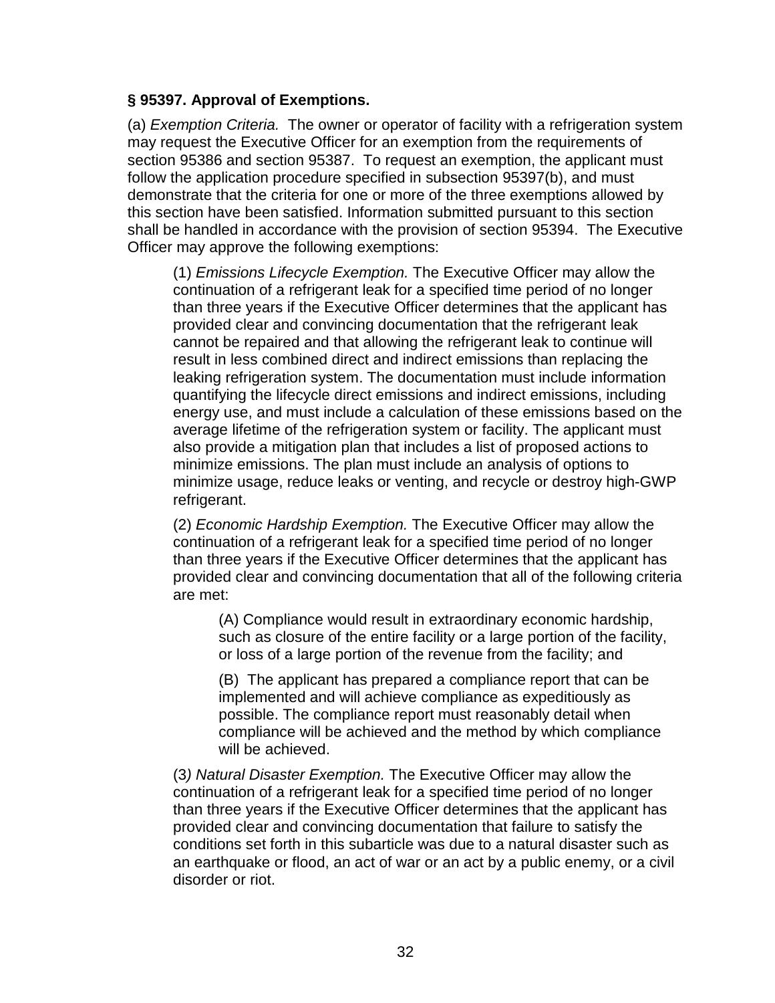### **§ 95397. Approval of Exemptions.**

(a) Exemption Criteria. The owner or operator of facility with a refrigeration system may request the Executive Officer for an exemption from the requirements of section 95386 and section 95387. To request an exemption, the applicant must follow the application procedure specified in subsection 95397(b), and must demonstrate that the criteria for one or more of the three exemptions allowed by this section have been satisfied. Information submitted pursuant to this section shall be handled in accordance with the provision of section 95394. The Executive Officer may approve the following exemptions:

(1) Emissions Lifecycle Exemption. The Executive Officer may allow the continuation of a refrigerant leak for a specified time period of no longer than three years if the Executive Officer determines that the applicant has provided clear and convincing documentation that the refrigerant leak cannot be repaired and that allowing the refrigerant leak to continue will result in less combined direct and indirect emissions than replacing the leaking refrigeration system. The documentation must include information quantifying the lifecycle direct emissions and indirect emissions, including energy use, and must include a calculation of these emissions based on the average lifetime of the refrigeration system or facility. The applicant must also provide a mitigation plan that includes a list of proposed actions to minimize emissions. The plan must include an analysis of options to minimize usage, reduce leaks or venting, and recycle or destroy high-GWP refrigerant.

(2) Economic Hardship Exemption. The Executive Officer may allow the continuation of a refrigerant leak for a specified time period of no longer than three years if the Executive Officer determines that the applicant has provided clear and convincing documentation that all of the following criteria are met:

(A) Compliance would result in extraordinary economic hardship, such as closure of the entire facility or a large portion of the facility, or loss of a large portion of the revenue from the facility; and

(B) The applicant has prepared a compliance report that can be implemented and will achieve compliance as expeditiously as possible. The compliance report must reasonably detail when compliance will be achieved and the method by which compliance will be achieved.

(3) Natural Disaster Exemption. The Executive Officer may allow the continuation of a refrigerant leak for a specified time period of no longer than three years if the Executive Officer determines that the applicant has provided clear and convincing documentation that failure to satisfy the conditions set forth in this subarticle was due to a natural disaster such as an earthquake or flood, an act of war or an act by a public enemy, or a civil disorder or riot.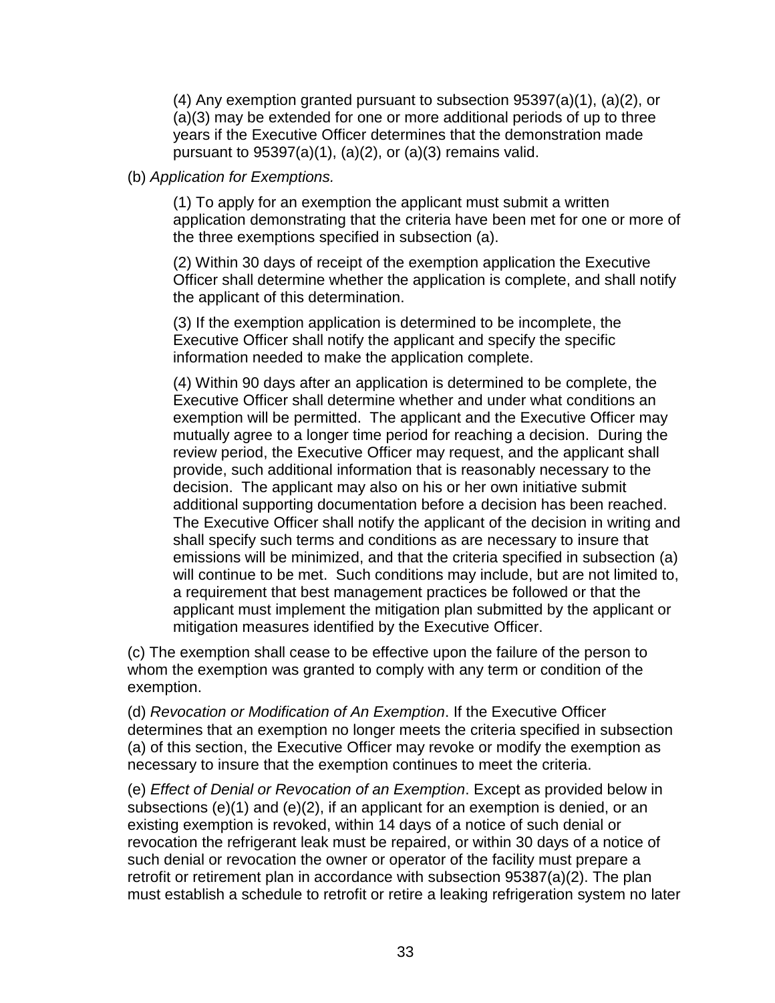(4) Any exemption granted pursuant to subsection  $95397(a)(1)$ ,  $(a)(2)$ , or (a)(3) may be extended for one or more additional periods of up to three years if the Executive Officer determines that the demonstration made pursuant to  $95397(a)(1)$ ,  $(a)(2)$ , or  $(a)(3)$  remains valid.

### (b) Application for Exemptions.

(1) To apply for an exemption the applicant must submit a written application demonstrating that the criteria have been met for one or more of the three exemptions specified in subsection (a).

(2) Within 30 days of receipt of the exemption application the Executive Officer shall determine whether the application is complete, and shall notify the applicant of this determination.

(3) If the exemption application is determined to be incomplete, the Executive Officer shall notify the applicant and specify the specific information needed to make the application complete.

(4) Within 90 days after an application is determined to be complete, the Executive Officer shall determine whether and under what conditions an exemption will be permitted. The applicant and the Executive Officer may mutually agree to a longer time period for reaching a decision. During the review period, the Executive Officer may request, and the applicant shall provide, such additional information that is reasonably necessary to the decision. The applicant may also on his or her own initiative submit additional supporting documentation before a decision has been reached. The Executive Officer shall notify the applicant of the decision in writing and shall specify such terms and conditions as are necessary to insure that emissions will be minimized, and that the criteria specified in subsection (a) will continue to be met. Such conditions may include, but are not limited to, a requirement that best management practices be followed or that the applicant must implement the mitigation plan submitted by the applicant or mitigation measures identified by the Executive Officer.

(c) The exemption shall cease to be effective upon the failure of the person to whom the exemption was granted to comply with any term or condition of the exemption.

(d) Revocation or Modification of An Exemption. If the Executive Officer determines that an exemption no longer meets the criteria specified in subsection (a) of this section, the Executive Officer may revoke or modify the exemption as necessary to insure that the exemption continues to meet the criteria.

(e) Effect of Denial or Revocation of an Exemption. Except as provided below in subsections (e)(1) and (e)(2), if an applicant for an exemption is denied, or an existing exemption is revoked, within 14 days of a notice of such denial or revocation the refrigerant leak must be repaired, or within 30 days of a notice of such denial or revocation the owner or operator of the facility must prepare a retrofit or retirement plan in accordance with subsection 95387(a)(2). The plan must establish a schedule to retrofit or retire a leaking refrigeration system no later